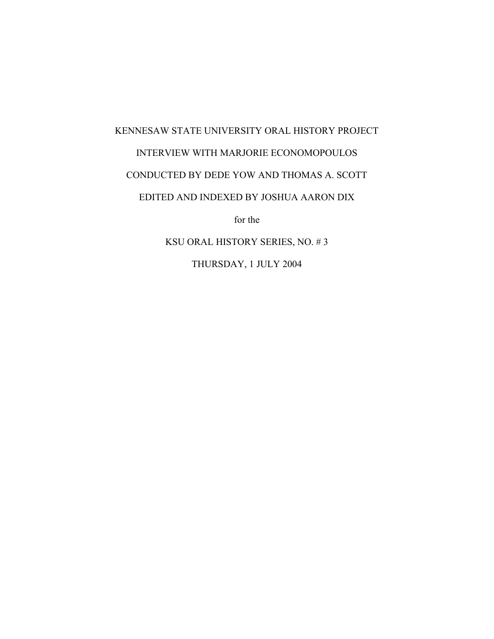## KENNESAW STATE UNIVERSITY ORAL HISTORY PROJECT INTERVIEW WITH MARJORIE ECONOMOPOULOS CONDUCTED BY DEDE YOW AND THOMAS A. SCOTT EDITED AND INDEXED BY JOSHUA AARON DIX for the

KSU ORAL HISTORY SERIES, NO. # 3

THURSDAY, 1 JULY 2004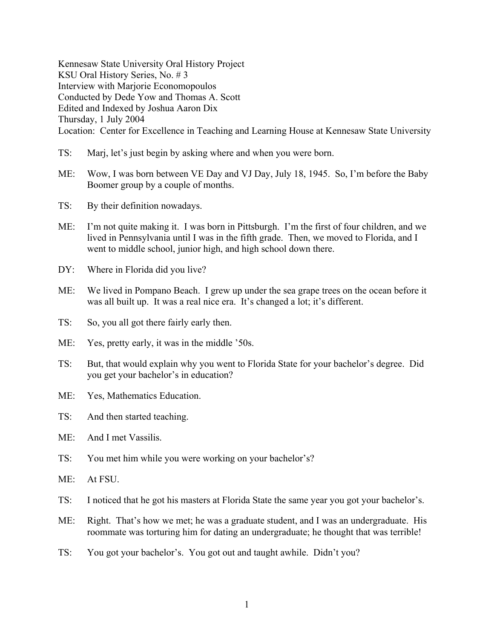Kennesaw State University Oral History Project KSU Oral History Series, No. # 3 Interview with Marjorie Economopoulos Conducted by Dede Yow and Thomas A. Scott Edited and Indexed by Joshua Aaron Dix Thursday, 1 July 2004 Location: Center for Excellence in Teaching and Learning House at Kennesaw State University

- TS: Marj, let's just begin by asking where and when you were born.
- ME: Wow, I was born between VE Day and VJ Day, July 18, 1945. So, I'm before the Baby Boomer group by a couple of months.
- TS: By their definition nowadays.
- ME: I'm not quite making it. I was born in Pittsburgh. I'm the first of four children, and we lived in Pennsylvania until I was in the fifth grade. Then, we moved to Florida, and I went to middle school, junior high, and high school down there.
- DY: Where in Florida did you live?
- ME: We lived in Pompano Beach. I grew up under the sea grape trees on the ocean before it was all built up. It was a real nice era. It's changed a lot; it's different.
- TS: So, you all got there fairly early then.
- ME: Yes, pretty early, it was in the middle '50s.
- TS: But, that would explain why you went to Florida State for your bachelor's degree. Did you get your bachelor's in education?
- ME: Yes, Mathematics Education.
- TS: And then started teaching.
- ME: And I met Vassilis.
- TS: You met him while you were working on your bachelor's?
- ME: At FSU.
- TS: I noticed that he got his masters at Florida State the same year you got your bachelor's.
- ME: Right. That's how we met; he was a graduate student, and I was an undergraduate. His roommate was torturing him for dating an undergraduate; he thought that was terrible!
- TS: You got your bachelor's. You got out and taught awhile. Didn't you?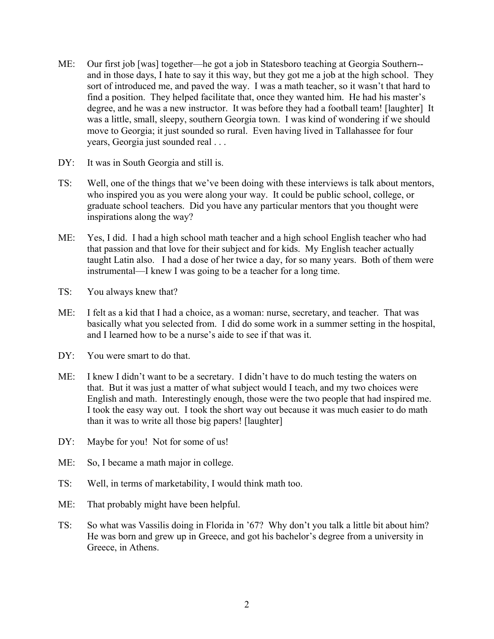- ME: Our first job [was] together—he got a job in Statesboro teaching at Georgia Southern- and in those days, I hate to say it this way, but they got me a job at the high school. They sort of introduced me, and paved the way. I was a math teacher, so it wasn't that hard to find a position. They helped facilitate that, once they wanted him. He had his master's degree, and he was a new instructor. It was before they had a football team! [laughter] It was a little, small, sleepy, southern Georgia town. I was kind of wondering if we should move to Georgia; it just sounded so rural. Even having lived in Tallahassee for four years, Georgia just sounded real . . .
- DY: It was in South Georgia and still is.
- TS: Well, one of the things that we've been doing with these interviews is talk about mentors, who inspired you as you were along your way. It could be public school, college, or graduate school teachers. Did you have any particular mentors that you thought were inspirations along the way?
- ME: Yes, I did. I had a high school math teacher and a high school English teacher who had that passion and that love for their subject and for kids. My English teacher actually taught Latin also. I had a dose of her twice a day, for so many years. Both of them were instrumental—I knew I was going to be a teacher for a long time.
- TS: You always knew that?
- ME: I felt as a kid that I had a choice, as a woman: nurse, secretary, and teacher. That was basically what you selected from. I did do some work in a summer setting in the hospital, and I learned how to be a nurse's aide to see if that was it.
- DY: You were smart to do that.
- ME: I knew I didn't want to be a secretary. I didn't have to do much testing the waters on that. But it was just a matter of what subject would I teach, and my two choices were English and math. Interestingly enough, those were the two people that had inspired me. I took the easy way out. I took the short way out because it was much easier to do math than it was to write all those big papers! [laughter]
- DY: Maybe for you! Not for some of us!
- ME: So, I became a math major in college.
- TS: Well, in terms of marketability, I would think math too.
- ME: That probably might have been helpful.
- TS: So what was Vassilis doing in Florida in '67? Why don't you talk a little bit about him? He was born and grew up in Greece, and got his bachelor's degree from a university in Greece, in Athens.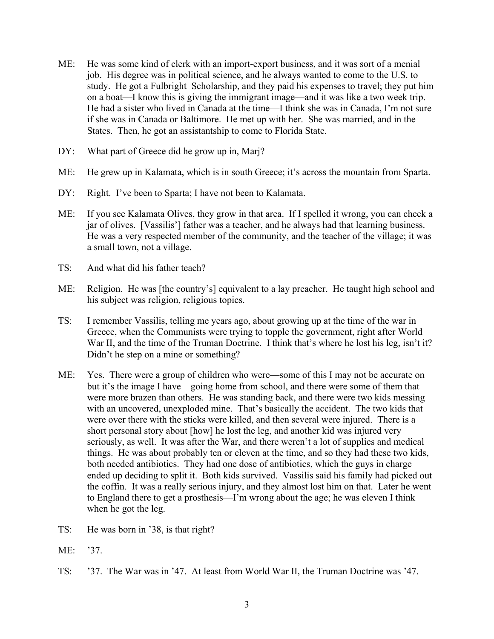- ME: He was some kind of clerk with an import-export business, and it was sort of a menial job. His degree was in political science, and he always wanted to come to the U.S. to study. He got a Fulbright Scholarship, and they paid his expenses to travel; they put him on a boat—I know this is giving the immigrant image—and it was like a two week trip. He had a sister who lived in Canada at the time—I think she was in Canada, I'm not sure if she was in Canada or Baltimore. He met up with her. She was married, and in the States. Then, he got an assistantship to come to Florida State.
- DY: What part of Greece did he grow up in, Marj?
- ME: He grew up in Kalamata, which is in south Greece; it's across the mountain from Sparta.
- DY: Right. I've been to Sparta; I have not been to Kalamata.
- ME: If you see Kalamata Olives, they grow in that area. If I spelled it wrong, you can check a jar of olives. [Vassilis'] father was a teacher, and he always had that learning business. He was a very respected member of the community, and the teacher of the village; it was a small town, not a village.
- TS: And what did his father teach?
- ME: Religion. He was [the country's] equivalent to a lay preacher. He taught high school and his subject was religion, religious topics.
- TS: I remember Vassilis, telling me years ago, about growing up at the time of the war in Greece, when the Communists were trying to topple the government, right after World War II, and the time of the Truman Doctrine. I think that's where he lost his leg, isn't it? Didn't he step on a mine or something?
- ME: Yes. There were a group of children who were—some of this I may not be accurate on but it's the image I have—going home from school, and there were some of them that were more brazen than others. He was standing back, and there were two kids messing with an uncovered, unexploded mine. That's basically the accident. The two kids that were over there with the sticks were killed, and then several were injured. There is a short personal story about [how] he lost the leg, and another kid was injured very seriously, as well. It was after the War, and there weren't a lot of supplies and medical things. He was about probably ten or eleven at the time, and so they had these two kids, both needed antibiotics. They had one dose of antibiotics, which the guys in charge ended up deciding to split it. Both kids survived. Vassilis said his family had picked out the coffin. It was a really serious injury, and they almost lost him on that. Later he went to England there to get a prosthesis—I'm wrong about the age; he was eleven I think when he got the leg.
- TS: He was born in '38, is that right?
- ME: '37.
- TS: '37. The War was in '47. At least from World War II, the Truman Doctrine was '47.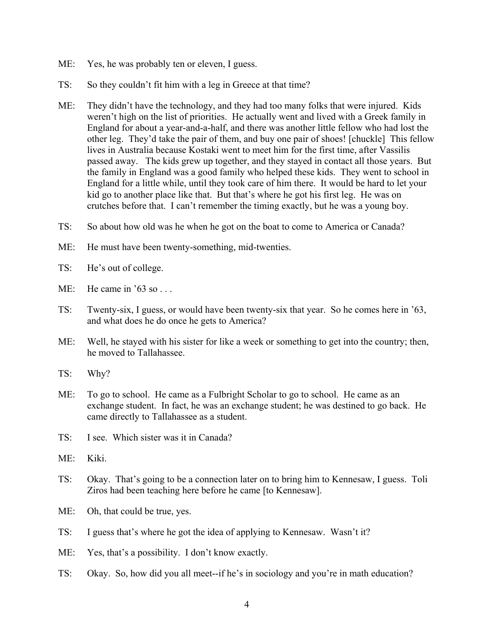- ME: Yes, he was probably ten or eleven, I guess.
- TS: So they couldn't fit him with a leg in Greece at that time?
- ME: They didn't have the technology, and they had too many folks that were injured. Kids weren't high on the list of priorities. He actually went and lived with a Greek family in England for about a year-and-a-half, and there was another little fellow who had lost the other leg. They'd take the pair of them, and buy one pair of shoes! [chuckle] This fellow lives in Australia because Kostaki went to meet him for the first time, after Vassilis passed away. The kids grew up together, and they stayed in contact all those years. But the family in England was a good family who helped these kids. They went to school in England for a little while, until they took care of him there. It would be hard to let your kid go to another place like that. But that's where he got his first leg. He was on crutches before that. I can't remember the timing exactly, but he was a young boy.
- TS: So about how old was he when he got on the boat to come to America or Canada?
- ME: He must have been twenty-something, mid-twenties.
- TS: He's out of college.
- ME: He came in '63 so . . .
- TS: Twenty-six, I guess, or would have been twenty-six that year. So he comes here in '63, and what does he do once he gets to America?
- ME: Well, he stayed with his sister for like a week or something to get into the country; then, he moved to Tallahassee.
- TS: Why?
- ME: To go to school. He came as a Fulbright Scholar to go to school. He came as an exchange student. In fact, he was an exchange student; he was destined to go back. He came directly to Tallahassee as a student.
- TS: I see. Which sister was it in Canada?
- ME: Kiki.
- TS: Okay. That's going to be a connection later on to bring him to Kennesaw, I guess. Toli Ziros had been teaching here before he came [to Kennesaw].
- ME: Oh, that could be true, yes.
- TS: I guess that's where he got the idea of applying to Kennesaw. Wasn't it?
- ME: Yes, that's a possibility. I don't know exactly.
- TS: Okay. So, how did you all meet--if he's in sociology and you're in math education?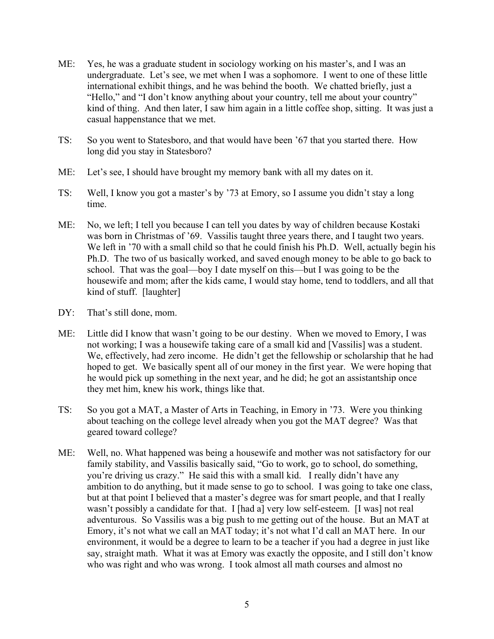- ME: Yes, he was a graduate student in sociology working on his master's, and I was an undergraduate. Let's see, we met when I was a sophomore. I went to one of these little international exhibit things, and he was behind the booth. We chatted briefly, just a "Hello," and "I don't know anything about your country, tell me about your country" kind of thing. And then later, I saw him again in a little coffee shop, sitting. It was just a casual happenstance that we met.
- TS: So you went to Statesboro, and that would have been '67 that you started there. How long did you stay in Statesboro?
- ME: Let's see, I should have brought my memory bank with all my dates on it.
- TS: Well, I know you got a master's by '73 at Emory, so I assume you didn't stay a long time.
- ME: No, we left; I tell you because I can tell you dates by way of children because Kostaki was born in Christmas of '69. Vassilis taught three years there, and I taught two years. We left in '70 with a small child so that he could finish his Ph.D. Well, actually begin his Ph.D. The two of us basically worked, and saved enough money to be able to go back to school. That was the goal—boy I date myself on this—but I was going to be the housewife and mom; after the kids came, I would stay home, tend to toddlers, and all that kind of stuff. [laughter]
- DY: That's still done, mom.
- ME: Little did I know that wasn't going to be our destiny. When we moved to Emory, I was not working; I was a housewife taking care of a small kid and [Vassilis] was a student. We, effectively, had zero income. He didn't get the fellowship or scholarship that he had hoped to get. We basically spent all of our money in the first year. We were hoping that he would pick up something in the next year, and he did; he got an assistantship once they met him, knew his work, things like that.
- TS: So you got a MAT, a Master of Arts in Teaching, in Emory in '73. Were you thinking about teaching on the college level already when you got the MAT degree? Was that geared toward college?
- ME: Well, no. What happened was being a housewife and mother was not satisfactory for our family stability, and Vassilis basically said, "Go to work, go to school, do something, you're driving us crazy." He said this with a small kid. I really didn't have any ambition to do anything, but it made sense to go to school. I was going to take one class, but at that point I believed that a master's degree was for smart people, and that I really wasn't possibly a candidate for that. I [had a] very low self-esteem. [I was] not real adventurous. So Vassilis was a big push to me getting out of the house. But an MAT at Emory, it's not what we call an MAT today; it's not what I'd call an MAT here. In our environment, it would be a degree to learn to be a teacher if you had a degree in just like say, straight math. What it was at Emory was exactly the opposite, and I still don't know who was right and who was wrong. I took almost all math courses and almost no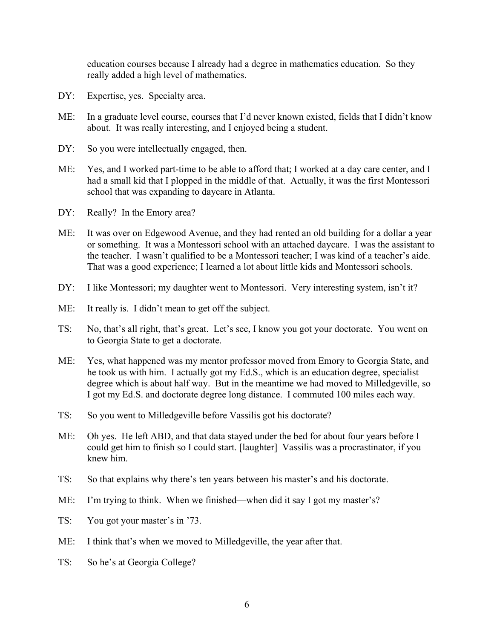education courses because I already had a degree in mathematics education. So they really added a high level of mathematics.

- DY: Expertise, yes. Specialty area.
- ME: In a graduate level course, courses that I'd never known existed, fields that I didn't know about. It was really interesting, and I enjoyed being a student.
- DY: So you were intellectually engaged, then.
- ME: Yes, and I worked part-time to be able to afford that; I worked at a day care center, and I had a small kid that I plopped in the middle of that. Actually, it was the first Montessori school that was expanding to daycare in Atlanta.
- DY: Really? In the Emory area?
- ME: It was over on Edgewood Avenue, and they had rented an old building for a dollar a year or something. It was a Montessori school with an attached daycare. I was the assistant to the teacher. I wasn't qualified to be a Montessori teacher; I was kind of a teacher's aide. That was a good experience; I learned a lot about little kids and Montessori schools.
- DY: I like Montessori; my daughter went to Montessori. Very interesting system, isn't it?
- ME: It really is. I didn't mean to get off the subject.
- TS: No, that's all right, that's great. Let's see, I know you got your doctorate. You went on to Georgia State to get a doctorate.
- ME: Yes, what happened was my mentor professor moved from Emory to Georgia State, and he took us with him. I actually got my Ed.S., which is an education degree, specialist degree which is about half way. But in the meantime we had moved to Milledgeville, so I got my Ed.S. and doctorate degree long distance. I commuted 100 miles each way.
- TS: So you went to Milledgeville before Vassilis got his doctorate?
- ME: Oh yes. He left ABD, and that data stayed under the bed for about four years before I could get him to finish so I could start. [laughter] Vassilis was a procrastinator, if you knew him.
- TS: So that explains why there's ten years between his master's and his doctorate.
- ME: I'm trying to think. When we finished—when did it say I got my master's?
- TS: You got your master's in '73.
- ME: I think that's when we moved to Milledgeville, the year after that.
- TS: So he's at Georgia College?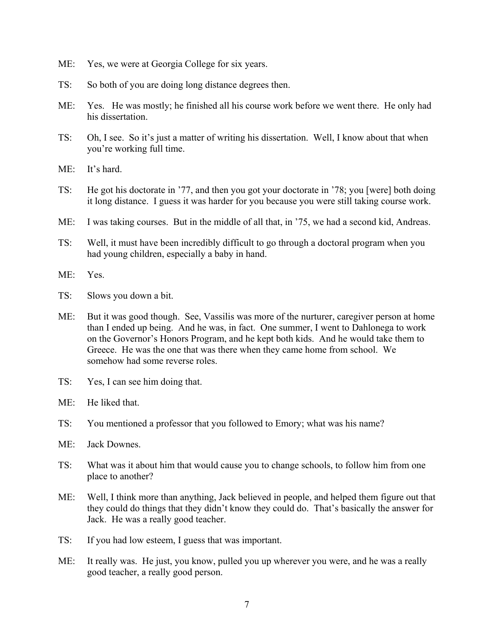- ME: Yes, we were at Georgia College for six years.
- TS: So both of you are doing long distance degrees then.
- ME: Yes. He was mostly; he finished all his course work before we went there. He only had his dissertation.
- TS: Oh, I see. So it's just a matter of writing his dissertation. Well, I know about that when you're working full time.
- ME: It's hard.
- TS: He got his doctorate in '77, and then you got your doctorate in '78; you [were] both doing it long distance. I guess it was harder for you because you were still taking course work.
- ME: I was taking courses. But in the middle of all that, in '75, we had a second kid, Andreas.
- TS: Well, it must have been incredibly difficult to go through a doctoral program when you had young children, especially a baby in hand.
- ME: Yes.
- TS: Slows you down a bit.
- ME: But it was good though. See, Vassilis was more of the nurturer, caregiver person at home than I ended up being. And he was, in fact. One summer, I went to Dahlonega to work on the Governor's Honors Program, and he kept both kids. And he would take them to Greece. He was the one that was there when they came home from school. We somehow had some reverse roles.
- TS: Yes, I can see him doing that.
- ME: He liked that.
- TS: You mentioned a professor that you followed to Emory; what was his name?
- ME: Jack Downes.
- TS: What was it about him that would cause you to change schools, to follow him from one place to another?
- ME: Well, I think more than anything, Jack believed in people, and helped them figure out that they could do things that they didn't know they could do. That's basically the answer for Jack. He was a really good teacher.
- TS: If you had low esteem, I guess that was important.
- ME: It really was. He just, you know, pulled you up wherever you were, and he was a really good teacher, a really good person.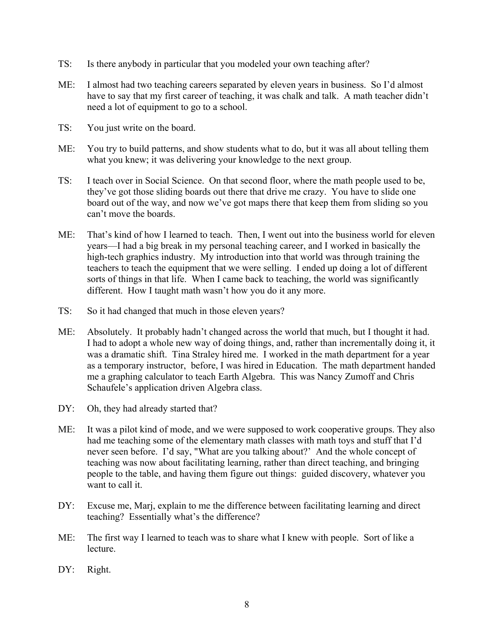- TS: Is there anybody in particular that you modeled your own teaching after?
- ME: I almost had two teaching careers separated by eleven years in business. So I'd almost have to say that my first career of teaching, it was chalk and talk. A math teacher didn't need a lot of equipment to go to a school.
- TS: You just write on the board.
- ME: You try to build patterns, and show students what to do, but it was all about telling them what you knew; it was delivering your knowledge to the next group.
- TS: I teach over in Social Science. On that second floor, where the math people used to be, they've got those sliding boards out there that drive me crazy. You have to slide one board out of the way, and now we've got maps there that keep them from sliding so you can't move the boards.
- ME: That's kind of how I learned to teach. Then, I went out into the business world for eleven years—I had a big break in my personal teaching career, and I worked in basically the high-tech graphics industry. My introduction into that world was through training the teachers to teach the equipment that we were selling. I ended up doing a lot of different sorts of things in that life. When I came back to teaching, the world was significantly different. How I taught math wasn't how you do it any more.
- TS: So it had changed that much in those eleven years?
- ME: Absolutely. It probably hadn't changed across the world that much, but I thought it had. I had to adopt a whole new way of doing things, and, rather than incrementally doing it, it was a dramatic shift. Tina Straley hired me. I worked in the math department for a year as a temporary instructor, before, I was hired in Education. The math department handed me a graphing calculator to teach Earth Algebra. This was Nancy Zumoff and Chris Schaufele's application driven Algebra class.
- DY: Oh, they had already started that?
- ME: It was a pilot kind of mode, and we were supposed to work cooperative groups. They also had me teaching some of the elementary math classes with math toys and stuff that I'd never seen before. I'd say, "What are you talking about?' And the whole concept of teaching was now about facilitating learning, rather than direct teaching, and bringing people to the table, and having them figure out things: guided discovery, whatever you want to call it.
- DY: Excuse me, Marj, explain to me the difference between facilitating learning and direct teaching? Essentially what's the difference?
- ME: The first way I learned to teach was to share what I knew with people. Sort of like a lecture.
- DY: Right.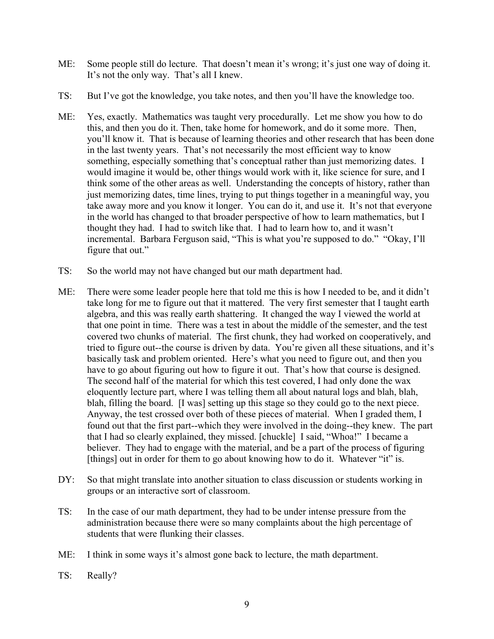- ME: Some people still do lecture. That doesn't mean it's wrong; it's just one way of doing it. It's not the only way. That's all I knew.
- TS: But I've got the knowledge, you take notes, and then you'll have the knowledge too.
- ME: Yes, exactly. Mathematics was taught very procedurally. Let me show you how to do this, and then you do it. Then, take home for homework, and do it some more. Then, you'll know it. That is because of learning theories and other research that has been done in the last twenty years. That's not necessarily the most efficient way to know something, especially something that's conceptual rather than just memorizing dates. I would imagine it would be, other things would work with it, like science for sure, and I think some of the other areas as well. Understanding the concepts of history, rather than just memorizing dates, time lines, trying to put things together in a meaningful way, you take away more and you know it longer. You can do it, and use it. It's not that everyone in the world has changed to that broader perspective of how to learn mathematics, but I thought they had. I had to switch like that. I had to learn how to, and it wasn't incremental. Barbara Ferguson said, "This is what you're supposed to do." "Okay, I'll figure that out."
- TS: So the world may not have changed but our math department had.
- ME: There were some leader people here that told me this is how I needed to be, and it didn't take long for me to figure out that it mattered. The very first semester that I taught earth algebra, and this was really earth shattering. It changed the way I viewed the world at that one point in time. There was a test in about the middle of the semester, and the test covered two chunks of material. The first chunk, they had worked on cooperatively, and tried to figure out--the course is driven by data. You're given all these situations, and it's basically task and problem oriented. Here's what you need to figure out, and then you have to go about figuring out how to figure it out. That's how that course is designed. The second half of the material for which this test covered, I had only done the wax eloquently lecture part, where I was telling them all about natural logs and blah, blah, blah, filling the board. [I was] setting up this stage so they could go to the next piece. Anyway, the test crossed over both of these pieces of material. When I graded them, I found out that the first part--which they were involved in the doing--they knew. The part that I had so clearly explained, they missed. [chuckle] I said, "Whoa!" I became a believer. They had to engage with the material, and be a part of the process of figuring [things] out in order for them to go about knowing how to do it. Whatever "it" is.
- DY: So that might translate into another situation to class discussion or students working in groups or an interactive sort of classroom.
- TS: In the case of our math department, they had to be under intense pressure from the administration because there were so many complaints about the high percentage of students that were flunking their classes.
- ME: I think in some ways it's almost gone back to lecture, the math department.
- TS: Really?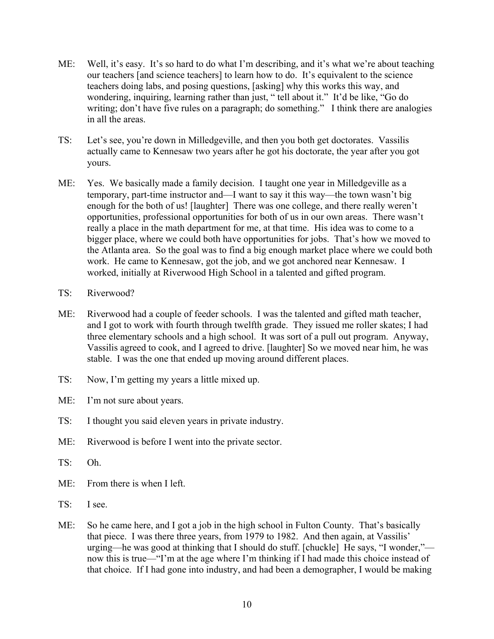- ME: Well, it's easy. It's so hard to do what I'm describing, and it's what we're about teaching our teachers [and science teachers] to learn how to do. It's equivalent to the science teachers doing labs, and posing questions, [asking] why this works this way, and wondering, inquiring, learning rather than just, " tell about it." It'd be like, "Go do writing; don't have five rules on a paragraph; do something." I think there are analogies in all the areas.
- TS: Let's see, you're down in Milledgeville, and then you both get doctorates. Vassilis actually came to Kennesaw two years after he got his doctorate, the year after you got yours.
- ME: Yes. We basically made a family decision. I taught one year in Milledgeville as a temporary, part-time instructor and—I want to say it this way—the town wasn't big enough for the both of us! [laughter] There was one college, and there really weren't opportunities, professional opportunities for both of us in our own areas. There wasn't really a place in the math department for me, at that time. His idea was to come to a bigger place, where we could both have opportunities for jobs. That's how we moved to the Atlanta area. So the goal was to find a big enough market place where we could both work. He came to Kennesaw, got the job, and we got anchored near Kennesaw. I worked, initially at Riverwood High School in a talented and gifted program.
- TS: Riverwood?
- ME: Riverwood had a couple of feeder schools. I was the talented and gifted math teacher, and I got to work with fourth through twelfth grade. They issued me roller skates; I had three elementary schools and a high school. It was sort of a pull out program. Anyway, Vassilis agreed to cook, and I agreed to drive. [laughter] So we moved near him, he was stable. I was the one that ended up moving around different places.
- TS: Now, I'm getting my years a little mixed up.
- ME: I'm not sure about years.
- TS: I thought you said eleven years in private industry.
- ME: Riverwood is before I went into the private sector.
- TS: Oh.
- ME: From there is when I left.
- TS: I see.
- ME: So he came here, and I got a job in the high school in Fulton County. That's basically that piece. I was there three years, from 1979 to 1982. And then again, at Vassilis' urging—he was good at thinking that I should do stuff. [chuckle] He says, "I wonder," now this is true—"I'm at the age where I'm thinking if I had made this choice instead of that choice. If I had gone into industry, and had been a demographer, I would be making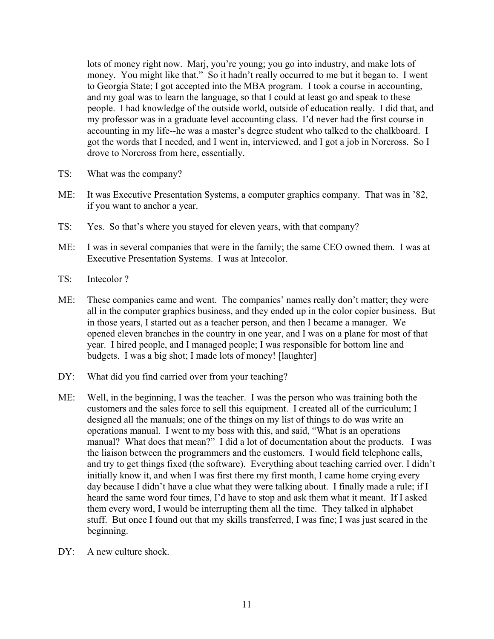lots of money right now. Marj, you're young; you go into industry, and make lots of money. You might like that." So it hadn't really occurred to me but it began to. I went to Georgia State; I got accepted into the MBA program. I took a course in accounting, and my goal was to learn the language, so that I could at least go and speak to these people. I had knowledge of the outside world, outside of education really. I did that, and my professor was in a graduate level accounting class. I'd never had the first course in accounting in my life--he was a master's degree student who talked to the chalkboard. I got the words that I needed, and I went in, interviewed, and I got a job in Norcross. So I drove to Norcross from here, essentially.

- TS: What was the company?
- ME: It was Executive Presentation Systems, a computer graphics company. That was in '82, if you want to anchor a year.
- TS: Yes. So that's where you stayed for eleven years, with that company?
- ME: I was in several companies that were in the family; the same CEO owned them. I was at Executive Presentation Systems. I was at Intecolor.
- TS: Intecolor ?
- ME: These companies came and went. The companies' names really don't matter; they were all in the computer graphics business, and they ended up in the color copier business. But in those years, I started out as a teacher person, and then I became a manager. We opened eleven branches in the country in one year, and I was on a plane for most of that year. I hired people, and I managed people; I was responsible for bottom line and budgets. I was a big shot; I made lots of money! [laughter]
- DY: What did you find carried over from your teaching?
- ME: Well, in the beginning, I was the teacher. I was the person who was training both the customers and the sales force to sell this equipment. I created all of the curriculum; I designed all the manuals; one of the things on my list of things to do was write an operations manual. I went to my boss with this, and said, "What is an operations manual? What does that mean?" I did a lot of documentation about the products. I was the liaison between the programmers and the customers. I would field telephone calls, and try to get things fixed (the software). Everything about teaching carried over. I didn't initially know it, and when I was first there my first month, I came home crying every day because I didn't have a clue what they were talking about. I finally made a rule; if I heard the same word four times, I'd have to stop and ask them what it meant. If I asked them every word, I would be interrupting them all the time. They talked in alphabet stuff. But once I found out that my skills transferred, I was fine; I was just scared in the beginning.
- $DY'$  A new culture shock.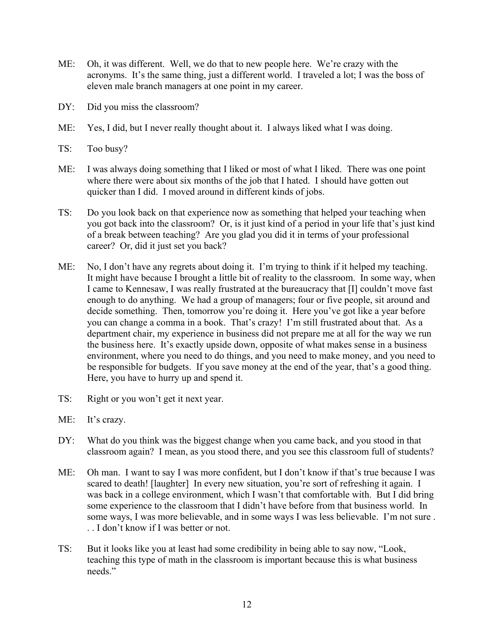- ME: Oh, it was different. Well, we do that to new people here. We're crazy with the acronyms. It's the same thing, just a different world. I traveled a lot; I was the boss of eleven male branch managers at one point in my career.
- DY: Did you miss the classroom?
- ME: Yes, I did, but I never really thought about it. I always liked what I was doing.
- TS: Too busy?
- ME: I was always doing something that I liked or most of what I liked. There was one point where there were about six months of the job that I hated. I should have gotten out quicker than I did. I moved around in different kinds of jobs.
- TS: Do you look back on that experience now as something that helped your teaching when you got back into the classroom? Or, is it just kind of a period in your life that's just kind of a break between teaching? Are you glad you did it in terms of your professional career? Or, did it just set you back?
- ME: No, I don't have any regrets about doing it. I'm trying to think if it helped my teaching. It might have because I brought a little bit of reality to the classroom. In some way, when I came to Kennesaw, I was really frustrated at the bureaucracy that [I] couldn't move fast enough to do anything. We had a group of managers; four or five people, sit around and decide something. Then, tomorrow you're doing it. Here you've got like a year before you can change a comma in a book. That's crazy! I'm still frustrated about that. As a department chair, my experience in business did not prepare me at all for the way we run the business here. It's exactly upside down, opposite of what makes sense in a business environment, where you need to do things, and you need to make money, and you need to be responsible for budgets. If you save money at the end of the year, that's a good thing. Here, you have to hurry up and spend it.
- TS: Right or you won't get it next year.
- ME: It's crazy.
- DY: What do you think was the biggest change when you came back, and you stood in that classroom again? I mean, as you stood there, and you see this classroom full of students?
- ME: Oh man. I want to say I was more confident, but I don't know if that's true because I was scared to death! [laughter] In every new situation, you're sort of refreshing it again. I was back in a college environment, which I wasn't that comfortable with. But I did bring some experience to the classroom that I didn't have before from that business world. In some ways, I was more believable, and in some ways I was less believable. I'm not sure . . . I don't know if I was better or not.
- TS: But it looks like you at least had some credibility in being able to say now, "Look, teaching this type of math in the classroom is important because this is what business needs"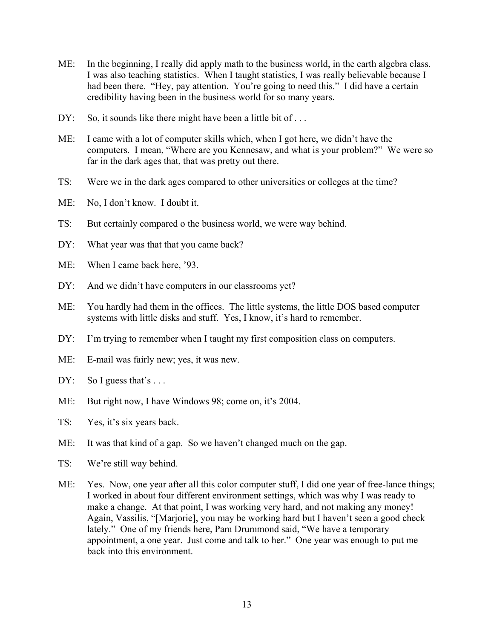- ME: In the beginning, I really did apply math to the business world, in the earth algebra class. I was also teaching statistics. When I taught statistics, I was really believable because I had been there. "Hey, pay attention. You're going to need this." I did have a certain credibility having been in the business world for so many years.
- DY: So, it sounds like there might have been a little bit of ...
- ME: I came with a lot of computer skills which, when I got here, we didn't have the computers. I mean, "Where are you Kennesaw, and what is your problem?" We were so far in the dark ages that, that was pretty out there.
- TS: Were we in the dark ages compared to other universities or colleges at the time?
- ME: No, I don't know. I doubt it.
- TS: But certainly compared o the business world, we were way behind.
- DY: What year was that that you came back?
- ME: When I came back here, '93.
- DY: And we didn't have computers in our classrooms yet?
- ME: You hardly had them in the offices. The little systems, the little DOS based computer systems with little disks and stuff. Yes, I know, it's hard to remember.
- DY: I'm trying to remember when I taught my first composition class on computers.
- ME: E-mail was fairly new; yes, it was new.
- $DY:$  So I guess that's ...
- ME: But right now, I have Windows 98; come on, it's 2004.
- TS: Yes, it's six years back.
- ME: It was that kind of a gap. So we haven't changed much on the gap.
- TS: We're still way behind.
- ME: Yes. Now, one year after all this color computer stuff, I did one year of free-lance things; I worked in about four different environment settings, which was why I was ready to make a change. At that point, I was working very hard, and not making any money! Again, Vassilis, "[Marjorie], you may be working hard but I haven't seen a good check lately." One of my friends here, Pam Drummond said, "We have a temporary appointment, a one year. Just come and talk to her." One year was enough to put me back into this environment.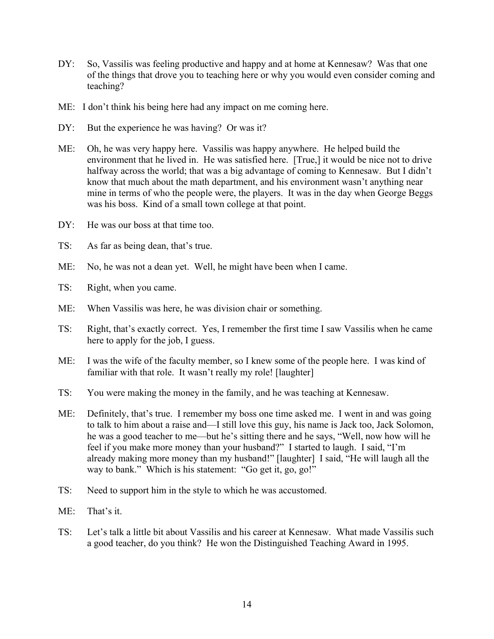- DY: So, Vassilis was feeling productive and happy and at home at Kennesaw? Was that one of the things that drove you to teaching here or why you would even consider coming and teaching?
- ME: I don't think his being here had any impact on me coming here.
- DY: But the experience he was having? Or was it?
- ME: Oh, he was very happy here. Vassilis was happy anywhere. He helped build the environment that he lived in. He was satisfied here. [True,] it would be nice not to drive halfway across the world; that was a big advantage of coming to Kennesaw. But I didn't know that much about the math department, and his environment wasn't anything near mine in terms of who the people were, the players. It was in the day when George Beggs was his boss. Kind of a small town college at that point.
- DY: He was our boss at that time too.
- TS: As far as being dean, that's true.
- ME: No, he was not a dean yet. Well, he might have been when I came.
- TS: Right, when you came.
- ME: When Vassilis was here, he was division chair or something.
- TS: Right, that's exactly correct. Yes, I remember the first time I saw Vassilis when he came here to apply for the job, I guess.
- ME: I was the wife of the faculty member, so I knew some of the people here. I was kind of familiar with that role. It wasn't really my role! [laughter]
- TS: You were making the money in the family, and he was teaching at Kennesaw.
- ME: Definitely, that's true. I remember my boss one time asked me. I went in and was going to talk to him about a raise and—I still love this guy, his name is Jack too, Jack Solomon, he was a good teacher to me—but he's sitting there and he says, "Well, now how will he feel if you make more money than your husband?" I started to laugh. I said, "I'm already making more money than my husband!" [laughter] I said, "He will laugh all the way to bank." Which is his statement: "Go get it, go, go!"
- TS: Need to support him in the style to which he was accustomed.
- ME: That's it.
- TS: Let's talk a little bit about Vassilis and his career at Kennesaw. What made Vassilis such a good teacher, do you think? He won the Distinguished Teaching Award in 1995.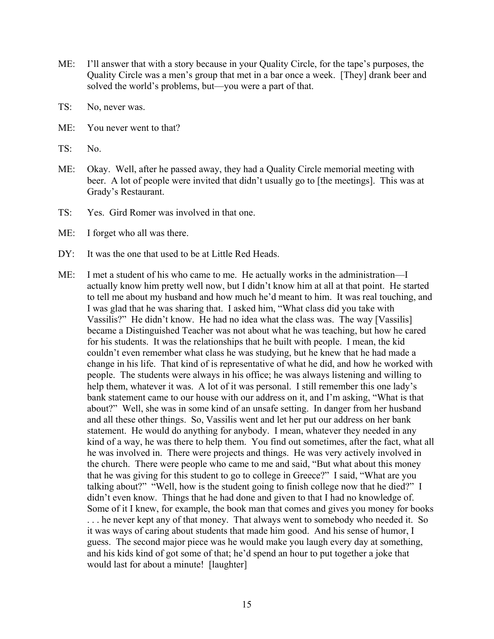- ME: I'll answer that with a story because in your Quality Circle, for the tape's purposes, the Quality Circle was a men's group that met in a bar once a week. [They] drank beer and solved the world's problems, but—you were a part of that.
- TS: No, never was.
- ME: You never went to that?
- TS: No.
- ME: Okay. Well, after he passed away, they had a Quality Circle memorial meeting with beer. A lot of people were invited that didn't usually go to [the meetings]. This was at Grady's Restaurant.
- TS: Yes. Gird Romer was involved in that one.
- ME: I forget who all was there.
- DY: It was the one that used to be at Little Red Heads.
- ME: I met a student of his who came to me. He actually works in the administration—I actually know him pretty well now, but I didn't know him at all at that point. He started to tell me about my husband and how much he'd meant to him. It was real touching, and I was glad that he was sharing that. I asked him, "What class did you take with Vassilis?" He didn't know. He had no idea what the class was. The way [Vassilis] became a Distinguished Teacher was not about what he was teaching, but how he cared for his students. It was the relationships that he built with people. I mean, the kid couldn't even remember what class he was studying, but he knew that he had made a change in his life. That kind of is representative of what he did, and how he worked with people. The students were always in his office; he was always listening and willing to help them, whatever it was. A lot of it was personal. I still remember this one lady's bank statement came to our house with our address on it, and I'm asking, "What is that about?" Well, she was in some kind of an unsafe setting. In danger from her husband and all these other things. So, Vassilis went and let her put our address on her bank statement. He would do anything for anybody. I mean, whatever they needed in any kind of a way, he was there to help them. You find out sometimes, after the fact, what all he was involved in. There were projects and things. He was very actively involved in the church. There were people who came to me and said, "But what about this money that he was giving for this student to go to college in Greece?" I said, "What are you talking about?" "Well, how is the student going to finish college now that he died?" I didn't even know. Things that he had done and given to that I had no knowledge of. Some of it I knew, for example, the book man that comes and gives you money for books . . . he never kept any of that money. That always went to somebody who needed it. So it was ways of caring about students that made him good. And his sense of humor, I guess. The second major piece was he would make you laugh every day at something, and his kids kind of got some of that; he'd spend an hour to put together a joke that would last for about a minute! [laughter]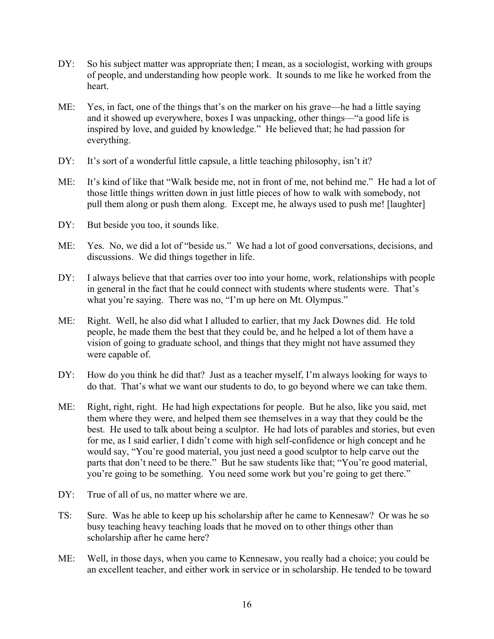- DY: So his subject matter was appropriate then; I mean, as a sociologist, working with groups of people, and understanding how people work. It sounds to me like he worked from the heart.
- ME: Yes, in fact, one of the things that's on the marker on his grave—he had a little saying and it showed up everywhere, boxes I was unpacking, other things—"a good life is inspired by love, and guided by knowledge." He believed that; he had passion for everything.
- DY: It's sort of a wonderful little capsule, a little teaching philosophy, isn't it?
- ME: It's kind of like that "Walk beside me, not in front of me, not behind me." He had a lot of those little things written down in just little pieces of how to walk with somebody, not pull them along or push them along. Except me, he always used to push me! [laughter]
- DY: But beside you too, it sounds like.
- ME: Yes. No, we did a lot of "beside us." We had a lot of good conversations, decisions, and discussions. We did things together in life.
- DY: I always believe that that carries over too into your home, work, relationships with people in general in the fact that he could connect with students where students were. That's what you're saying. There was no, "I'm up here on Mt. Olympus."
- ME: Right. Well, he also did what I alluded to earlier, that my Jack Downes did. He told people, he made them the best that they could be, and he helped a lot of them have a vision of going to graduate school, and things that they might not have assumed they were capable of.
- DY: How do you think he did that? Just as a teacher myself, I'm always looking for ways to do that. That's what we want our students to do, to go beyond where we can take them.
- ME: Right, right, right. He had high expectations for people. But he also, like you said, met them where they were, and helped them see themselves in a way that they could be the best. He used to talk about being a sculptor. He had lots of parables and stories, but even for me, as I said earlier, I didn't come with high self-confidence or high concept and he would say, "You're good material, you just need a good sculptor to help carve out the parts that don't need to be there." But he saw students like that; "You're good material, you're going to be something. You need some work but you're going to get there."
- DY: True of all of us, no matter where we are.
- TS: Sure. Was he able to keep up his scholarship after he came to Kennesaw? Or was he so busy teaching heavy teaching loads that he moved on to other things other than scholarship after he came here?
- ME: Well, in those days, when you came to Kennesaw, you really had a choice; you could be an excellent teacher, and either work in service or in scholarship. He tended to be toward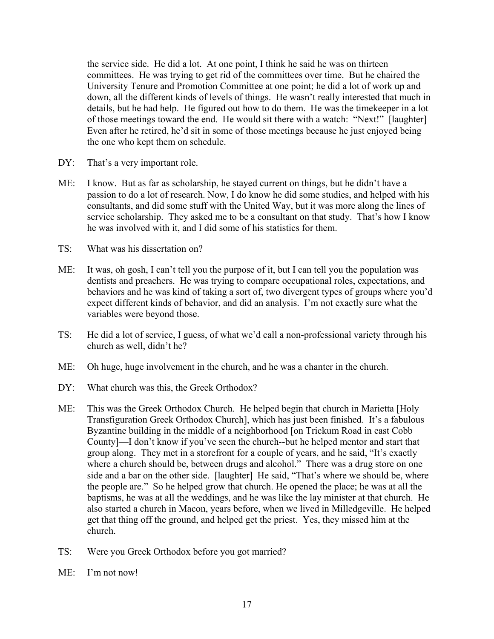the service side. He did a lot. At one point, I think he said he was on thirteen committees. He was trying to get rid of the committees over time. But he chaired the University Tenure and Promotion Committee at one point; he did a lot of work up and down, all the different kinds of levels of things. He wasn't really interested that much in details, but he had help. He figured out how to do them. He was the timekeeper in a lot of those meetings toward the end. He would sit there with a watch: "Next!" [laughter] Even after he retired, he'd sit in some of those meetings because he just enjoyed being the one who kept them on schedule.

- DY: That's a very important role.
- ME: I know. But as far as scholarship, he stayed current on things, but he didn't have a passion to do a lot of research. Now, I do know he did some studies, and helped with his consultants, and did some stuff with the United Way, but it was more along the lines of service scholarship. They asked me to be a consultant on that study. That's how I know he was involved with it, and I did some of his statistics for them.
- TS: What was his dissertation on?
- ME: It was, oh gosh, I can't tell you the purpose of it, but I can tell you the population was dentists and preachers. He was trying to compare occupational roles, expectations, and behaviors and he was kind of taking a sort of, two divergent types of groups where you'd expect different kinds of behavior, and did an analysis. I'm not exactly sure what the variables were beyond those.
- TS: He did a lot of service, I guess, of what we'd call a non-professional variety through his church as well, didn't he?
- ME: Oh huge, huge involvement in the church, and he was a chanter in the church.
- DY: What church was this, the Greek Orthodox?
- ME: This was the Greek Orthodox Church. He helped begin that church in Marietta [Holy Transfiguration Greek Orthodox Church], which has just been finished. It's a fabulous Byzantine building in the middle of a neighborhood [on Trickum Road in east Cobb County]—I don't know if you've seen the church--but he helped mentor and start that group along. They met in a storefront for a couple of years, and he said, "It's exactly where a church should be, between drugs and alcohol." There was a drug store on one side and a bar on the other side. [laughter] He said, "That's where we should be, where the people are." So he helped grow that church. He opened the place; he was at all the baptisms, he was at all the weddings, and he was like the lay minister at that church. He also started a church in Macon, years before, when we lived in Milledgeville. He helped get that thing off the ground, and helped get the priest. Yes, they missed him at the church.
- TS: Were you Greek Orthodox before you got married?
- ME: I'm not now!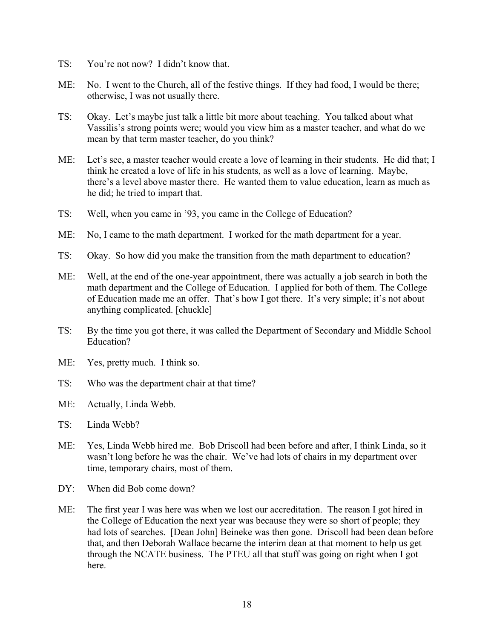- TS: You're not now? I didn't know that.
- ME: No. I went to the Church, all of the festive things. If they had food, I would be there; otherwise, I was not usually there.
- TS: Okay. Let's maybe just talk a little bit more about teaching. You talked about what Vassilis's strong points were; would you view him as a master teacher, and what do we mean by that term master teacher, do you think?
- ME: Let's see, a master teacher would create a love of learning in their students. He did that; I think he created a love of life in his students, as well as a love of learning. Maybe, there's a level above master there. He wanted them to value education, learn as much as he did; he tried to impart that.
- TS: Well, when you came in '93, you came in the College of Education?
- ME: No, I came to the math department. I worked for the math department for a year.
- TS: Okay. So how did you make the transition from the math department to education?
- ME: Well, at the end of the one-year appointment, there was actually a job search in both the math department and the College of Education. I applied for both of them. The College of Education made me an offer. That's how I got there. It's very simple; it's not about anything complicated. [chuckle]
- TS: By the time you got there, it was called the Department of Secondary and Middle School Education?
- ME: Yes, pretty much. I think so.
- TS: Who was the department chair at that time?
- ME: Actually, Linda Webb.
- TS: Linda Webb?
- ME: Yes, Linda Webb hired me. Bob Driscoll had been before and after, I think Linda, so it wasn't long before he was the chair. We've had lots of chairs in my department over time, temporary chairs, most of them.
- DY: When did Bob come down?
- ME: The first year I was here was when we lost our accreditation. The reason I got hired in the College of Education the next year was because they were so short of people; they had lots of searches. [Dean John] Beineke was then gone. Driscoll had been dean before that, and then Deborah Wallace became the interim dean at that moment to help us get through the NCATE business. The PTEU all that stuff was going on right when I got here.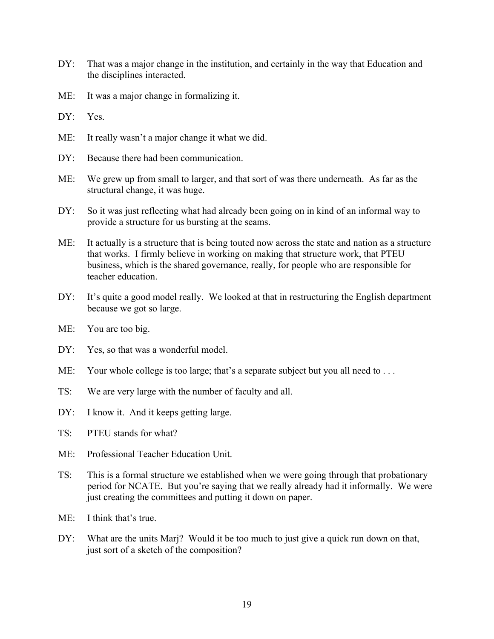- DY: That was a major change in the institution, and certainly in the way that Education and the disciplines interacted.
- ME: It was a major change in formalizing it.
- DY: Yes.
- ME: It really wasn't a major change it what we did.
- DY: Because there had been communication.
- ME: We grew up from small to larger, and that sort of was there underneath. As far as the structural change, it was huge.
- DY: So it was just reflecting what had already been going on in kind of an informal way to provide a structure for us bursting at the seams.
- ME: It actually is a structure that is being touted now across the state and nation as a structure that works. I firmly believe in working on making that structure work, that PTEU business, which is the shared governance, really, for people who are responsible for teacher education.
- DY: It's quite a good model really. We looked at that in restructuring the English department because we got so large.
- ME: You are too big.
- DY: Yes, so that was a wonderful model.
- ME: Your whole college is too large; that's a separate subject but you all need to ...
- TS: We are very large with the number of faculty and all.
- DY: I know it. And it keeps getting large.
- TS: PTEU stands for what?
- ME: Professional Teacher Education Unit.
- TS: This is a formal structure we established when we were going through that probationary period for NCATE. But you're saying that we really already had it informally. We were just creating the committees and putting it down on paper.
- $ME:$  I think that's true.
- DY: What are the units Mari? Would it be too much to just give a quick run down on that, just sort of a sketch of the composition?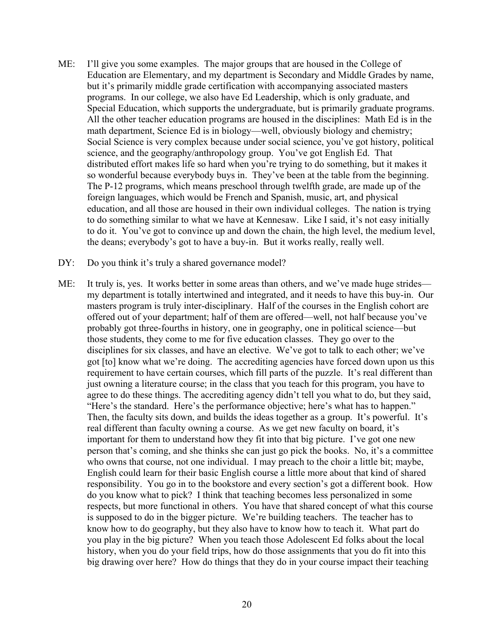- ME: I'll give you some examples. The major groups that are housed in the College of Education are Elementary, and my department is Secondary and Middle Grades by name, but it's primarily middle grade certification with accompanying associated masters programs. In our college, we also have Ed Leadership, which is only graduate, and Special Education, which supports the undergraduate, but is primarily graduate programs. All the other teacher education programs are housed in the disciplines: Math Ed is in the math department, Science Ed is in biology—well, obviously biology and chemistry; Social Science is very complex because under social science, you've got history, political science, and the geography/anthropology group. You've got English Ed. That distributed effort makes life so hard when you're trying to do something, but it makes it so wonderful because everybody buys in. They've been at the table from the beginning. The P-12 programs, which means preschool through twelfth grade, are made up of the foreign languages, which would be French and Spanish, music, art, and physical education, and all those are housed in their own individual colleges. The nation is trying to do something similar to what we have at Kennesaw. Like I said, it's not easy initially to do it. You've got to convince up and down the chain, the high level, the medium level, the deans; everybody's got to have a buy-in. But it works really, really well.
- DY: Do you think it's truly a shared governance model?
- ME: It truly is, yes. It works better in some areas than others, and we've made huge strides my department is totally intertwined and integrated, and it needs to have this buy-in. Our masters program is truly inter-disciplinary. Half of the courses in the English cohort are offered out of your department; half of them are offered—well, not half because you've probably got three-fourths in history, one in geography, one in political science—but those students, they come to me for five education classes. They go over to the disciplines for six classes, and have an elective. We've got to talk to each other; we've got [to] know what we're doing. The accrediting agencies have forced down upon us this requirement to have certain courses, which fill parts of the puzzle. It's real different than just owning a literature course; in the class that you teach for this program, you have to agree to do these things. The accrediting agency didn't tell you what to do, but they said, "Here's the standard. Here's the performance objective; here's what has to happen." Then, the faculty sits down, and builds the ideas together as a group. It's powerful. It's real different than faculty owning a course. As we get new faculty on board, it's important for them to understand how they fit into that big picture. I've got one new person that's coming, and she thinks she can just go pick the books. No, it's a committee who owns that course, not one individual. I may preach to the choir a little bit; maybe, English could learn for their basic English course a little more about that kind of shared responsibility. You go in to the bookstore and every section's got a different book. How do you know what to pick? I think that teaching becomes less personalized in some respects, but more functional in others. You have that shared concept of what this course is supposed to do in the bigger picture. We're building teachers. The teacher has to know how to do geography, but they also have to know how to teach it. What part do you play in the big picture? When you teach those Adolescent Ed folks about the local history, when you do your field trips, how do those assignments that you do fit into this big drawing over here? How do things that they do in your course impact their teaching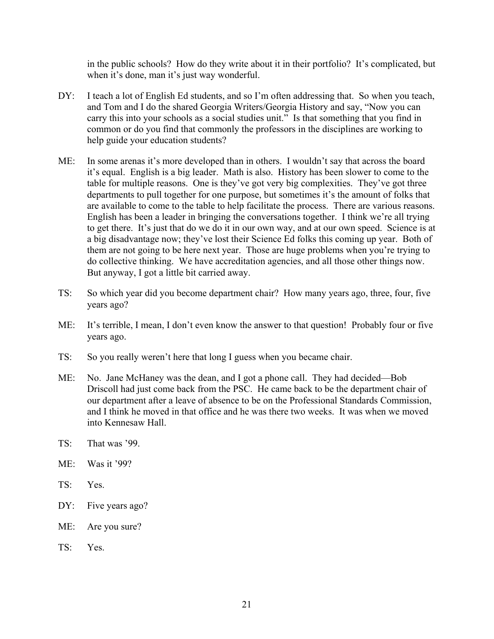in the public schools? How do they write about it in their portfolio? It's complicated, but when it's done, man it's just way wonderful.

- DY: I teach a lot of English Ed students, and so I'm often addressing that. So when you teach, and Tom and I do the shared Georgia Writers/Georgia History and say, "Now you can carry this into your schools as a social studies unit." Is that something that you find in common or do you find that commonly the professors in the disciplines are working to help guide your education students?
- ME: In some arenas it's more developed than in others. I wouldn't say that across the board it's equal. English is a big leader. Math is also. History has been slower to come to the table for multiple reasons. One is they've got very big complexities. They've got three departments to pull together for one purpose, but sometimes it's the amount of folks that are available to come to the table to help facilitate the process. There are various reasons. English has been a leader in bringing the conversations together. I think we're all trying to get there. It's just that do we do it in our own way, and at our own speed. Science is at a big disadvantage now; they've lost their Science Ed folks this coming up year. Both of them are not going to be here next year. Those are huge problems when you're trying to do collective thinking. We have accreditation agencies, and all those other things now. But anyway, I got a little bit carried away.
- TS: So which year did you become department chair? How many years ago, three, four, five years ago?
- ME: It's terrible, I mean, I don't even know the answer to that question! Probably four or five years ago.
- TS: So you really weren't here that long I guess when you became chair.
- ME: No. Jane McHaney was the dean, and I got a phone call. They had decided—Bob Driscoll had just come back from the PSC. He came back to be the department chair of our department after a leave of absence to be on the Professional Standards Commission, and I think he moved in that office and he was there two weeks. It was when we moved into Kennesaw Hall.
- TS: That was '99.
- ME: Was it '99?
- TS: Yes.
- DY: Five years ago?
- ME: Are you sure?
- TS: Yes.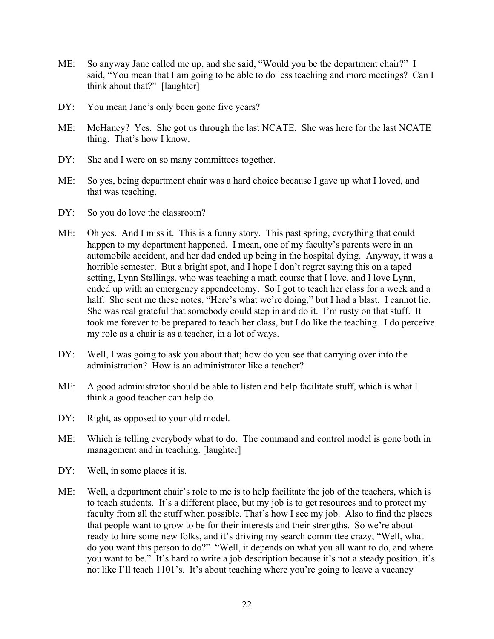- ME: So anyway Jane called me up, and she said, "Would you be the department chair?" I said, "You mean that I am going to be able to do less teaching and more meetings? Can I think about that?" [laughter]
- DY: You mean Jane's only been gone five years?
- ME: McHaney? Yes. She got us through the last NCATE. She was here for the last NCATE thing. That's how I know.
- DY: She and I were on so many committees together.
- ME: So yes, being department chair was a hard choice because I gave up what I loved, and that was teaching.
- DY: So you do love the classroom?
- ME: Oh yes. And I miss it. This is a funny story. This past spring, everything that could happen to my department happened. I mean, one of my faculty's parents were in an automobile accident, and her dad ended up being in the hospital dying. Anyway, it was a horrible semester. But a bright spot, and I hope I don't regret saying this on a taped setting, Lynn Stallings, who was teaching a math course that I love, and I love Lynn, ended up with an emergency appendectomy. So I got to teach her class for a week and a half. She sent me these notes, "Here's what we're doing," but I had a blast. I cannot lie. She was real grateful that somebody could step in and do it. I'm rusty on that stuff. It took me forever to be prepared to teach her class, but I do like the teaching. I do perceive my role as a chair is as a teacher, in a lot of ways.
- DY: Well, I was going to ask you about that; how do you see that carrying over into the administration? How is an administrator like a teacher?
- ME: A good administrator should be able to listen and help facilitate stuff, which is what I think a good teacher can help do.
- DY: Right, as opposed to your old model.
- ME: Which is telling everybody what to do. The command and control model is gone both in management and in teaching. [laughter]
- DY: Well, in some places it is.
- ME: Well, a department chair's role to me is to help facilitate the job of the teachers, which is to teach students. It's a different place, but my job is to get resources and to protect my faculty from all the stuff when possible. That's how I see my job. Also to find the places that people want to grow to be for their interests and their strengths. So we're about ready to hire some new folks, and it's driving my search committee crazy; "Well, what do you want this person to do?" "Well, it depends on what you all want to do, and where you want to be." It's hard to write a job description because it's not a steady position, it's not like I'll teach 1101's. It's about teaching where you're going to leave a vacancy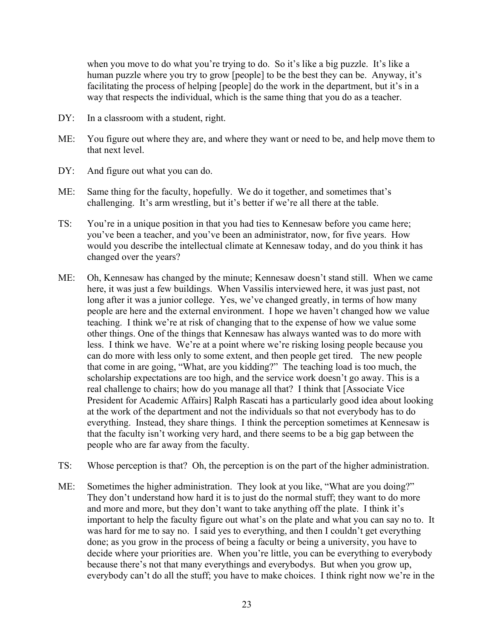when you move to do what you're trying to do. So it's like a big puzzle. It's like a human puzzle where you try to grow [people] to be the best they can be. Anyway, it's facilitating the process of helping [people] do the work in the department, but it's in a way that respects the individual, which is the same thing that you do as a teacher.

- DY: In a classroom with a student, right.
- ME: You figure out where they are, and where they want or need to be, and help move them to that next level.
- DY: And figure out what you can do.
- ME: Same thing for the faculty, hopefully. We do it together, and sometimes that's challenging. It's arm wrestling, but it's better if we're all there at the table.
- TS: You're in a unique position in that you had ties to Kennesaw before you came here; you've been a teacher, and you've been an administrator, now, for five years. How would you describe the intellectual climate at Kennesaw today, and do you think it has changed over the years?
- ME: Oh, Kennesaw has changed by the minute; Kennesaw doesn't stand still. When we came here, it was just a few buildings. When Vassilis interviewed here, it was just past, not long after it was a junior college. Yes, we've changed greatly, in terms of how many people are here and the external environment. I hope we haven't changed how we value teaching. I think we're at risk of changing that to the expense of how we value some other things. One of the things that Kennesaw has always wanted was to do more with less. I think we have. We're at a point where we're risking losing people because you can do more with less only to some extent, and then people get tired. The new people that come in are going, "What, are you kidding?" The teaching load is too much, the scholarship expectations are too high, and the service work doesn't go away. This is a real challenge to chairs; how do you manage all that? I think that [Associate Vice President for Academic Affairs] Ralph Rascati has a particularly good idea about looking at the work of the department and not the individuals so that not everybody has to do everything. Instead, they share things. I think the perception sometimes at Kennesaw is that the faculty isn't working very hard, and there seems to be a big gap between the people who are far away from the faculty.
- TS: Whose perception is that? Oh, the perception is on the part of the higher administration.
- ME: Sometimes the higher administration. They look at you like, "What are you doing?" They don't understand how hard it is to just do the normal stuff; they want to do more and more and more, but they don't want to take anything off the plate. I think it's important to help the faculty figure out what's on the plate and what you can say no to. It was hard for me to say no. I said yes to everything, and then I couldn't get everything done; as you grow in the process of being a faculty or being a university, you have to decide where your priorities are. When you're little, you can be everything to everybody because there's not that many everythings and everybodys. But when you grow up, everybody can't do all the stuff; you have to make choices. I think right now we're in the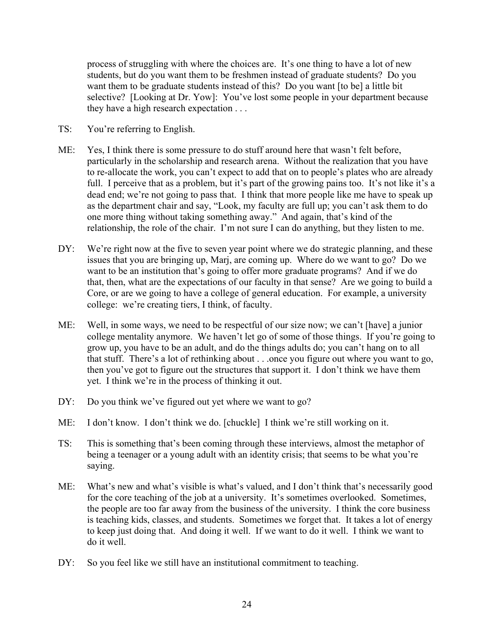process of struggling with where the choices are. It's one thing to have a lot of new students, but do you want them to be freshmen instead of graduate students? Do you want them to be graduate students instead of this? Do you want [to be] a little bit selective? [Looking at Dr. Yow]: You've lost some people in your department because they have a high research expectation . . .

- TS: You're referring to English.
- ME: Yes, I think there is some pressure to do stuff around here that wasn't felt before, particularly in the scholarship and research arena. Without the realization that you have to re-allocate the work, you can't expect to add that on to people's plates who are already full. I perceive that as a problem, but it's part of the growing pains too. It's not like it's a dead end; we're not going to pass that. I think that more people like me have to speak up as the department chair and say, "Look, my faculty are full up; you can't ask them to do one more thing without taking something away." And again, that's kind of the relationship, the role of the chair. I'm not sure I can do anything, but they listen to me.
- DY: We're right now at the five to seven year point where we do strategic planning, and these issues that you are bringing up, Marj, are coming up. Where do we want to go? Do we want to be an institution that's going to offer more graduate programs? And if we do that, then, what are the expectations of our faculty in that sense? Are we going to build a Core, or are we going to have a college of general education. For example, a university college: we're creating tiers, I think, of faculty.
- ME: Well, in some ways, we need to be respectful of our size now; we can't [have] a junior college mentality anymore. We haven't let go of some of those things. If you're going to grow up, you have to be an adult, and do the things adults do; you can't hang on to all that stuff. There's a lot of rethinking about . . .once you figure out where you want to go, then you've got to figure out the structures that support it. I don't think we have them yet. I think we're in the process of thinking it out.
- DY: Do you think we've figured out yet where we want to go?
- ME: I don't know. I don't think we do. [chuckle] I think we're still working on it.
- TS: This is something that's been coming through these interviews, almost the metaphor of being a teenager or a young adult with an identity crisis; that seems to be what you're saying.
- ME: What's new and what's visible is what's valued, and I don't think that's necessarily good for the core teaching of the job at a university. It's sometimes overlooked. Sometimes, the people are too far away from the business of the university. I think the core business is teaching kids, classes, and students. Sometimes we forget that. It takes a lot of energy to keep just doing that. And doing it well. If we want to do it well. I think we want to do it well.
- DY: So you feel like we still have an institutional commitment to teaching.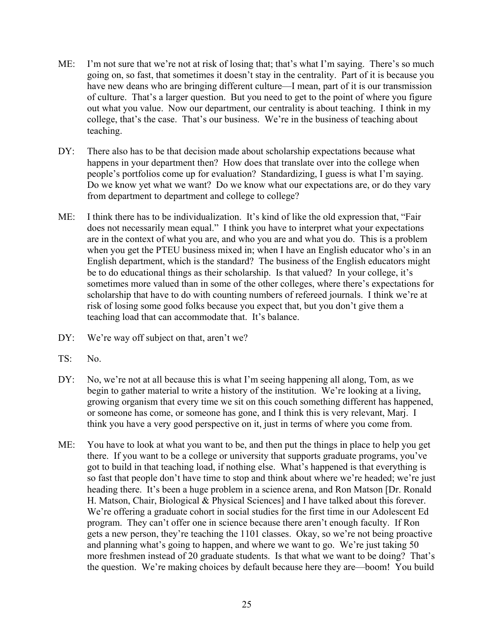- ME: I'm not sure that we're not at risk of losing that; that's what I'm saying. There's so much going on, so fast, that sometimes it doesn't stay in the centrality. Part of it is because you have new deans who are bringing different culture—I mean, part of it is our transmission of culture. That's a larger question. But you need to get to the point of where you figure out what you value. Now our department, our centrality is about teaching. I think in my college, that's the case. That's our business. We're in the business of teaching about teaching.
- DY: There also has to be that decision made about scholarship expectations because what happens in your department then? How does that translate over into the college when people's portfolios come up for evaluation? Standardizing, I guess is what I'm saying. Do we know yet what we want? Do we know what our expectations are, or do they vary from department to department and college to college?
- ME: I think there has to be individualization. It's kind of like the old expression that, "Fair does not necessarily mean equal." I think you have to interpret what your expectations are in the context of what you are, and who you are and what you do. This is a problem when you get the PTEU business mixed in; when I have an English educator who's in an English department, which is the standard? The business of the English educators might be to do educational things as their scholarship. Is that valued? In your college, it's sometimes more valued than in some of the other colleges, where there's expectations for scholarship that have to do with counting numbers of refereed journals. I think we're at risk of losing some good folks because you expect that, but you don't give them a teaching load that can accommodate that. It's balance.
- DY: We're way off subject on that, aren't we?
- TS: No.
- DY: No, we're not at all because this is what I'm seeing happening all along, Tom, as we begin to gather material to write a history of the institution. We're looking at a living, growing organism that every time we sit on this couch something different has happened, or someone has come, or someone has gone, and I think this is very relevant, Marj. I think you have a very good perspective on it, just in terms of where you come from.
- ME: You have to look at what you want to be, and then put the things in place to help you get there. If you want to be a college or university that supports graduate programs, you've got to build in that teaching load, if nothing else. What's happened is that everything is so fast that people don't have time to stop and think about where we're headed; we're just heading there. It's been a huge problem in a science arena, and Ron Matson [Dr. Ronald H. Matson, Chair, Biological & Physical Sciences] and I have talked about this forever. We're offering a graduate cohort in social studies for the first time in our Adolescent Ed program. They can't offer one in science because there aren't enough faculty. If Ron gets a new person, they're teaching the 1101 classes. Okay, so we're not being proactive and planning what's going to happen, and where we want to go. We're just taking 50 more freshmen instead of 20 graduate students. Is that what we want to be doing? That's the question. We're making choices by default because here they are—boom! You build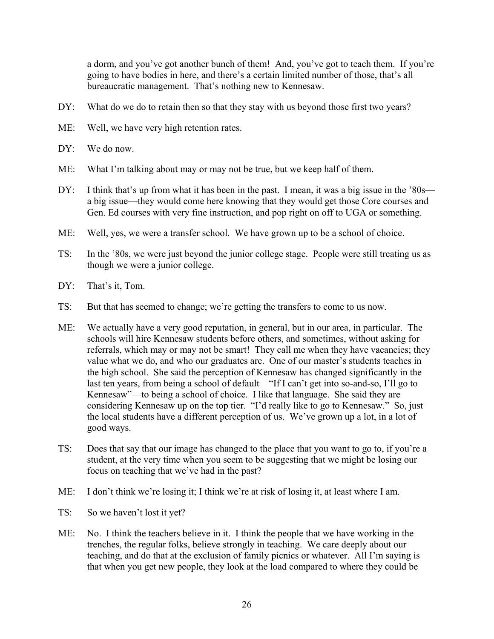a dorm, and you've got another bunch of them! And, you've got to teach them. If you're going to have bodies in here, and there's a certain limited number of those, that's all bureaucratic management. That's nothing new to Kennesaw.

- DY: What do we do to retain then so that they stay with us beyond those first two years?
- ME: Well, we have very high retention rates.
- DY: We do now.
- ME: What I'm talking about may or may not be true, but we keep half of them.
- DY: I think that's up from what it has been in the past. I mean, it was a big issue in the '80s a big issue—they would come here knowing that they would get those Core courses and Gen. Ed courses with very fine instruction, and pop right on off to UGA or something.
- ME: Well, yes, we were a transfer school. We have grown up to be a school of choice.
- TS: In the '80s, we were just beyond the junior college stage. People were still treating us as though we were a junior college.
- DY: That's it, Tom.
- TS: But that has seemed to change; we're getting the transfers to come to us now.
- ME: We actually have a very good reputation, in general, but in our area, in particular. The schools will hire Kennesaw students before others, and sometimes, without asking for referrals, which may or may not be smart! They call me when they have vacancies; they value what we do, and who our graduates are. One of our master's students teaches in the high school. She said the perception of Kennesaw has changed significantly in the last ten years, from being a school of default—"If I can't get into so-and-so, I'll go to Kennesaw"—to being a school of choice. I like that language. She said they are considering Kennesaw up on the top tier. "I'd really like to go to Kennesaw." So, just the local students have a different perception of us. We've grown up a lot, in a lot of good ways.
- TS: Does that say that our image has changed to the place that you want to go to, if you're a student, at the very time when you seem to be suggesting that we might be losing our focus on teaching that we've had in the past?
- ME: I don't think we're losing it; I think we're at risk of losing it, at least where I am.
- TS: So we haven't lost it yet?
- ME: No. I think the teachers believe in it. I think the people that we have working in the trenches, the regular folks, believe strongly in teaching. We care deeply about our teaching, and do that at the exclusion of family picnics or whatever. All I'm saying is that when you get new people, they look at the load compared to where they could be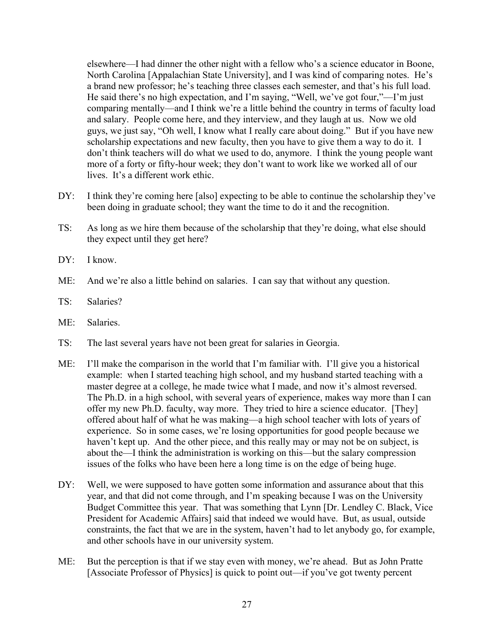elsewhere—I had dinner the other night with a fellow who's a science educator in Boone, North Carolina [Appalachian State University], and I was kind of comparing notes. He's a brand new professor; he's teaching three classes each semester, and that's his full load. He said there's no high expectation, and I'm saying, "Well, we've got four,"—I'm just comparing mentally—and I think we're a little behind the country in terms of faculty load and salary. People come here, and they interview, and they laugh at us. Now we old guys, we just say, "Oh well, I know what I really care about doing." But if you have new scholarship expectations and new faculty, then you have to give them a way to do it. I don't think teachers will do what we used to do, anymore. I think the young people want more of a forty or fifty-hour week; they don't want to work like we worked all of our lives. It's a different work ethic.

- DY: I think they're coming here [also] expecting to be able to continue the scholarship they've been doing in graduate school; they want the time to do it and the recognition.
- TS: As long as we hire them because of the scholarship that they're doing, what else should they expect until they get here?
- DY: I know.
- ME: And we're also a little behind on salaries. I can say that without any question.
- TS: Salaries?
- ME: Salaries.
- TS: The last several years have not been great for salaries in Georgia.
- ME: I'll make the comparison in the world that I'm familiar with. I'll give you a historical example: when I started teaching high school, and my husband started teaching with a master degree at a college, he made twice what I made, and now it's almost reversed. The Ph.D. in a high school, with several years of experience, makes way more than I can offer my new Ph.D. faculty, way more. They tried to hire a science educator. [They] offered about half of what he was making—a high school teacher with lots of years of experience. So in some cases, we're losing opportunities for good people because we haven't kept up. And the other piece, and this really may or may not be on subject, is about the—I think the administration is working on this—but the salary compression issues of the folks who have been here a long time is on the edge of being huge.
- DY: Well, we were supposed to have gotten some information and assurance about that this year, and that did not come through, and I'm speaking because I was on the University Budget Committee this year. That was something that Lynn [Dr. Lendley C. Black, Vice President for Academic Affairs] said that indeed we would have. But, as usual, outside constraints, the fact that we are in the system, haven't had to let anybody go, for example, and other schools have in our university system.
- ME: But the perception is that if we stay even with money, we're ahead. But as John Pratte [Associate Professor of Physics] is quick to point out—if you've got twenty percent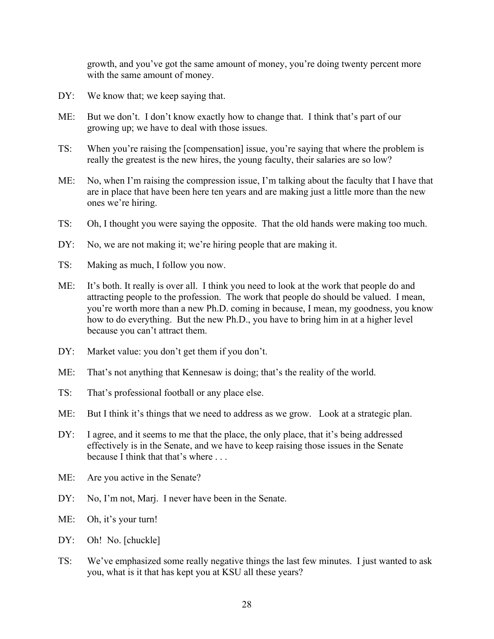growth, and you've got the same amount of money, you're doing twenty percent more with the same amount of money.

- DY: We know that; we keep saying that.
- ME: But we don't. I don't know exactly how to change that. I think that's part of our growing up; we have to deal with those issues.
- TS: When you're raising the [compensation] issue, you're saying that where the problem is really the greatest is the new hires, the young faculty, their salaries are so low?
- ME: No, when I'm raising the compression issue, I'm talking about the faculty that I have that are in place that have been here ten years and are making just a little more than the new ones we're hiring.
- TS: Oh, I thought you were saying the opposite. That the old hands were making too much.
- DY: No, we are not making it; we're hiring people that are making it.
- TS: Making as much, I follow you now.
- ME: It's both. It really is over all. I think you need to look at the work that people do and attracting people to the profession. The work that people do should be valued. I mean, you're worth more than a new Ph.D. coming in because, I mean, my goodness, you know how to do everything. But the new Ph.D., you have to bring him in at a higher level because you can't attract them.
- DY: Market value: you don't get them if you don't.
- ME: That's not anything that Kennesaw is doing; that's the reality of the world.
- TS: That's professional football or any place else.
- ME: But I think it's things that we need to address as we grow. Look at a strategic plan.
- DY: I agree, and it seems to me that the place, the only place, that it's being addressed effectively is in the Senate, and we have to keep raising those issues in the Senate because I think that that's where
- ME: Are you active in the Senate?
- DY: No, I'm not, Marj. I never have been in the Senate.
- ME: Oh, it's your turn!
- DY: Oh! No. [chuckle]
- TS: We've emphasized some really negative things the last few minutes. I just wanted to ask you, what is it that has kept you at KSU all these years?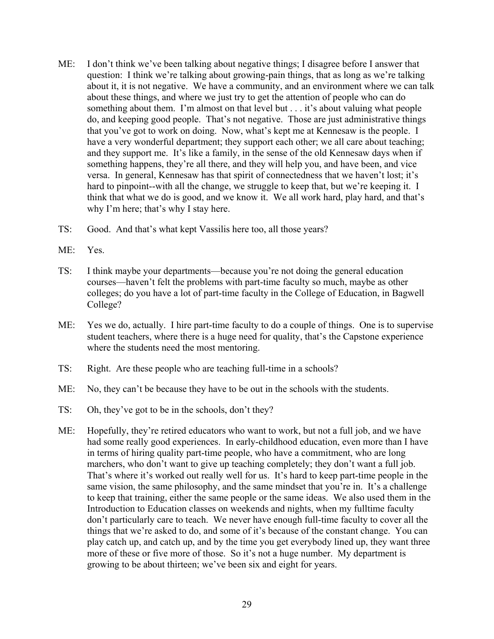- ME: I don't think we've been talking about negative things; I disagree before I answer that question: I think we're talking about growing-pain things, that as long as we're talking about it, it is not negative. We have a community, and an environment where we can talk about these things, and where we just try to get the attention of people who can do something about them. I'm almost on that level but . . . it's about valuing what people do, and keeping good people. That's not negative. Those are just administrative things that you've got to work on doing. Now, what's kept me at Kennesaw is the people. I have a very wonderful department; they support each other; we all care about teaching; and they support me. It's like a family, in the sense of the old Kennesaw days when if something happens, they're all there, and they will help you, and have been, and vice versa. In general, Kennesaw has that spirit of connectedness that we haven't lost; it's hard to pinpoint--with all the change, we struggle to keep that, but we're keeping it. I think that what we do is good, and we know it. We all work hard, play hard, and that's why I'm here; that's why I stay here.
- TS: Good. And that's what kept Vassilis here too, all those years?
- ME: Yes.
- TS: I think maybe your departments—because you're not doing the general education courses—haven't felt the problems with part-time faculty so much, maybe as other colleges; do you have a lot of part-time faculty in the College of Education, in Bagwell College?
- ME: Yes we do, actually. I hire part-time faculty to do a couple of things. One is to supervise student teachers, where there is a huge need for quality, that's the Capstone experience where the students need the most mentoring.
- TS: Right. Are these people who are teaching full-time in a schools?
- ME: No, they can't be because they have to be out in the schools with the students.
- TS: Oh, they've got to be in the schools, don't they?
- ME: Hopefully, they're retired educators who want to work, but not a full job, and we have had some really good experiences. In early-childhood education, even more than I have in terms of hiring quality part-time people, who have a commitment, who are long marchers, who don't want to give up teaching completely; they don't want a full job. That's where it's worked out really well for us. It's hard to keep part-time people in the same vision, the same philosophy, and the same mindset that you're in. It's a challenge to keep that training, either the same people or the same ideas. We also used them in the Introduction to Education classes on weekends and nights, when my fulltime faculty don't particularly care to teach. We never have enough full-time faculty to cover all the things that we're asked to do, and some of it's because of the constant change. You can play catch up, and catch up, and by the time you get everybody lined up, they want three more of these or five more of those. So it's not a huge number. My department is growing to be about thirteen; we've been six and eight for years.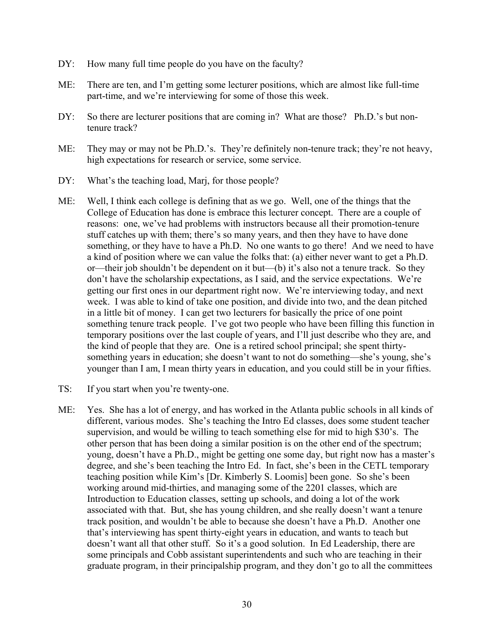- DY: How many full time people do you have on the faculty?
- ME: There are ten, and I'm getting some lecturer positions, which are almost like full-time part-time, and we're interviewing for some of those this week.
- DY: So there are lecturer positions that are coming in? What are those? Ph.D.'s but nontenure track?
- ME: They may or may not be Ph.D.'s. They're definitely non-tenure track; they're not heavy, high expectations for research or service, some service.
- DY: What's the teaching load, Marj, for those people?
- ME: Well, I think each college is defining that as we go. Well, one of the things that the College of Education has done is embrace this lecturer concept. There are a couple of reasons: one, we've had problems with instructors because all their promotion-tenure stuff catches up with them; there's so many years, and then they have to have done something, or they have to have a Ph.D. No one wants to go there! And we need to have a kind of position where we can value the folks that: (a) either never want to get a Ph.D. or—their job shouldn't be dependent on it but—(b) it's also not a tenure track. So they don't have the scholarship expectations, as I said, and the service expectations. We're getting our first ones in our department right now. We're interviewing today, and next week. I was able to kind of take one position, and divide into two, and the dean pitched in a little bit of money. I can get two lecturers for basically the price of one point something tenure track people. I've got two people who have been filling this function in temporary positions over the last couple of years, and I'll just describe who they are, and the kind of people that they are. One is a retired school principal; she spent thirtysomething years in education; she doesn't want to not do something—she's young, she's younger than I am, I mean thirty years in education, and you could still be in your fifties.
- TS: If you start when you're twenty-one.
- ME: Yes. She has a lot of energy, and has worked in the Atlanta public schools in all kinds of different, various modes. She's teaching the Intro Ed classes, does some student teacher supervision, and would be willing to teach something else for mid to high \$30's. The other person that has been doing a similar position is on the other end of the spectrum; young, doesn't have a Ph.D., might be getting one some day, but right now has a master's degree, and she's been teaching the Intro Ed. In fact, she's been in the CETL temporary teaching position while Kim's [Dr. Kimberly S. Loomis] been gone. So she's been working around mid-thirties, and managing some of the 2201 classes, which are Introduction to Education classes, setting up schools, and doing a lot of the work associated with that. But, she has young children, and she really doesn't want a tenure track position, and wouldn't be able to because she doesn't have a Ph.D. Another one that's interviewing has spent thirty-eight years in education, and wants to teach but doesn't want all that other stuff. So it's a good solution. In Ed Leadership, there are some principals and Cobb assistant superintendents and such who are teaching in their graduate program, in their principalship program, and they don't go to all the committees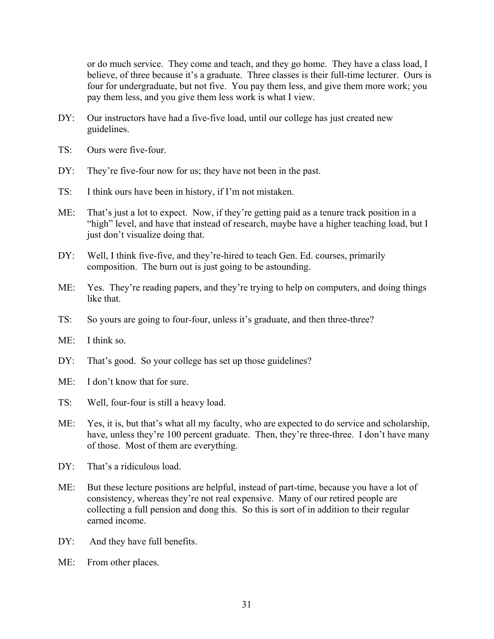or do much service. They come and teach, and they go home. They have a class load, I believe, of three because it's a graduate. Three classes is their full-time lecturer. Ours is four for undergraduate, but not five. You pay them less, and give them more work; you pay them less, and you give them less work is what I view.

- DY: Our instructors have had a five-five load, until our college has just created new guidelines.
- TS: Ours were five-four.
- DY: They're five-four now for us; they have not been in the past.
- TS: I think ours have been in history, if I'm not mistaken.
- ME: That's just a lot to expect. Now, if they're getting paid as a tenure track position in a "high" level, and have that instead of research, maybe have a higher teaching load, but I just don't visualize doing that.
- DY: Well, I think five-five, and they're-hired to teach Gen. Ed. courses, primarily composition. The burn out is just going to be astounding.
- ME: Yes. They're reading papers, and they're trying to help on computers, and doing things like that.
- TS: So yours are going to four-four, unless it's graduate, and then three-three?
- ME: I think so.
- DY: That's good. So your college has set up those guidelines?
- ME: I don't know that for sure.
- TS: Well, four-four is still a heavy load.
- ME: Yes, it is, but that's what all my faculty, who are expected to do service and scholarship, have, unless they're 100 percent graduate. Then, they're three-three. I don't have many of those. Most of them are everything.
- DY: That's a ridiculous load.
- ME: But these lecture positions are helpful, instead of part-time, because you have a lot of consistency, whereas they're not real expensive. Many of our retired people are collecting a full pension and dong this. So this is sort of in addition to their regular earned income.
- DY: And they have full benefits.
- ME: From other places.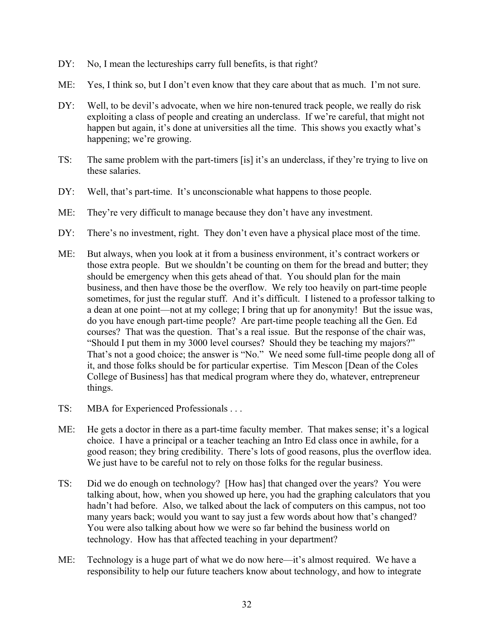- DY: No, I mean the lectureships carry full benefits, is that right?
- ME: Yes, I think so, but I don't even know that they care about that as much. I'm not sure.
- DY: Well, to be devil's advocate, when we hire non-tenured track people, we really do risk exploiting a class of people and creating an underclass. If we're careful, that might not happen but again, it's done at universities all the time. This shows you exactly what's happening; we're growing.
- TS: The same problem with the part-timers [is] it's an underclass, if they're trying to live on these salaries.
- DY: Well, that's part-time. It's unconscionable what happens to those people.
- ME: They're very difficult to manage because they don't have any investment.
- DY: There's no investment, right. They don't even have a physical place most of the time.
- ME: But always, when you look at it from a business environment, it's contract workers or those extra people. But we shouldn't be counting on them for the bread and butter; they should be emergency when this gets ahead of that. You should plan for the main business, and then have those be the overflow. We rely too heavily on part-time people sometimes, for just the regular stuff. And it's difficult. I listened to a professor talking to a dean at one point—not at my college; I bring that up for anonymity! But the issue was, do you have enough part-time people? Are part-time people teaching all the Gen. Ed courses? That was the question. That's a real issue. But the response of the chair was, "Should I put them in my 3000 level courses? Should they be teaching my majors?" That's not a good choice; the answer is "No." We need some full-time people dong all of it, and those folks should be for particular expertise. Tim Mescon [Dean of the Coles College of Business] has that medical program where they do, whatever, entrepreneur things.
- TS: MBA for Experienced Professionals . . .
- ME: He gets a doctor in there as a part-time faculty member. That makes sense; it's a logical choice. I have a principal or a teacher teaching an Intro Ed class once in awhile, for a good reason; they bring credibility. There's lots of good reasons, plus the overflow idea. We just have to be careful not to rely on those folks for the regular business.
- TS: Did we do enough on technology? [How has] that changed over the years? You were talking about, how, when you showed up here, you had the graphing calculators that you hadn't had before. Also, we talked about the lack of computers on this campus, not too many years back; would you want to say just a few words about how that's changed? You were also talking about how we were so far behind the business world on technology. How has that affected teaching in your department?
- ME: Technology is a huge part of what we do now here—it's almost required. We have a responsibility to help our future teachers know about technology, and how to integrate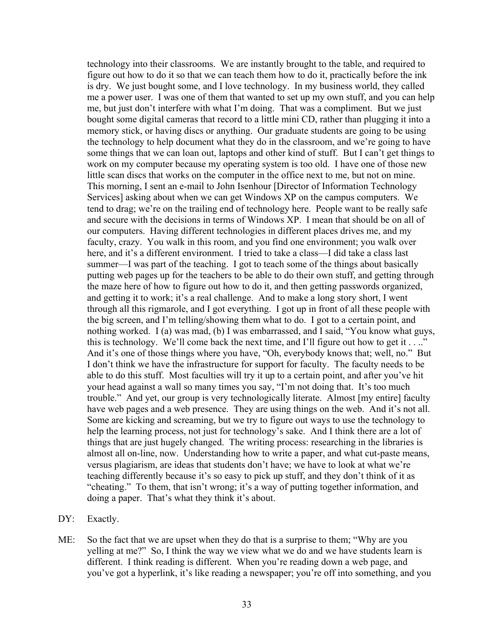technology into their classrooms. We are instantly brought to the table, and required to figure out how to do it so that we can teach them how to do it, practically before the ink is dry. We just bought some, and I love technology. In my business world, they called me a power user. I was one of them that wanted to set up my own stuff, and you can help me, but just don't interfere with what I'm doing. That was a compliment. But we just bought some digital cameras that record to a little mini CD, rather than plugging it into a memory stick, or having discs or anything. Our graduate students are going to be using the technology to help document what they do in the classroom, and we're going to have some things that we can loan out, laptops and other kind of stuff. But I can't get things to work on my computer because my operating system is too old. I have one of those new little scan discs that works on the computer in the office next to me, but not on mine. This morning, I sent an e-mail to John Isenhour [Director of Information Technology Services] asking about when we can get Windows XP on the campus computers. We tend to drag; we're on the trailing end of technology here. People want to be really safe and secure with the decisions in terms of Windows XP. I mean that should be on all of our computers. Having different technologies in different places drives me, and my faculty, crazy. You walk in this room, and you find one environment; you walk over here, and it's a different environment. I tried to take a class—I did take a class last summer—I was part of the teaching. I got to teach some of the things about basically putting web pages up for the teachers to be able to do their own stuff, and getting through the maze here of how to figure out how to do it, and then getting passwords organized, and getting it to work; it's a real challenge. And to make a long story short, I went through all this rigmarole, and I got everything. I got up in front of all these people with the big screen, and I'm telling/showing them what to do. I got to a certain point, and nothing worked. I (a) was mad, (b) I was embarrassed, and I said, "You know what guys, this is technology. We'll come back the next time, and I'll figure out how to get it  $\dots$ ." And it's one of those things where you have, "Oh, everybody knows that; well, no." But I don't think we have the infrastructure for support for faculty. The faculty needs to be able to do this stuff. Most faculties will try it up to a certain point, and after you've hit your head against a wall so many times you say, "I'm not doing that. It's too much trouble." And yet, our group is very technologically literate. Almost [my entire] faculty have web pages and a web presence. They are using things on the web. And it's not all. Some are kicking and screaming, but we try to figure out ways to use the technology to help the learning process, not just for technology's sake. And I think there are a lot of things that are just hugely changed. The writing process: researching in the libraries is almost all on-line, now. Understanding how to write a paper, and what cut-paste means, versus plagiarism, are ideas that students don't have; we have to look at what we're teaching differently because it's so easy to pick up stuff, and they don't think of it as "cheating." To them, that isn't wrong; it's a way of putting together information, and doing a paper. That's what they think it's about.

DY: Exactly.

ME: So the fact that we are upset when they do that is a surprise to them; "Why are you yelling at me?" So, I think the way we view what we do and we have students learn is different. I think reading is different. When you're reading down a web page, and you've got a hyperlink, it's like reading a newspaper; you're off into something, and you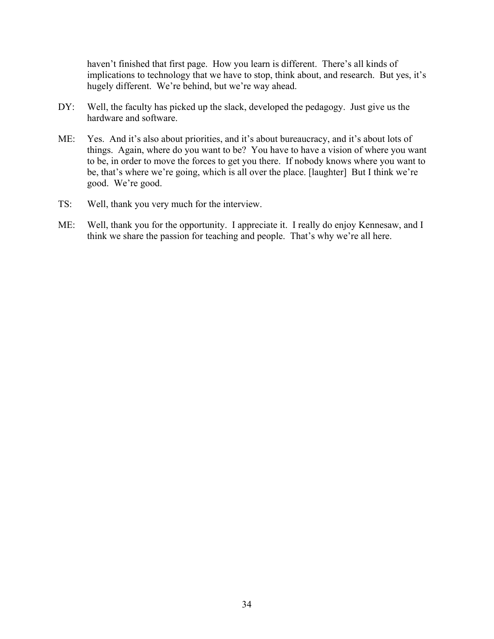haven't finished that first page. How you learn is different. There's all kinds of implications to technology that we have to stop, think about, and research. But yes, it's hugely different. We're behind, but we're way ahead.

- DY: Well, the faculty has picked up the slack, developed the pedagogy. Just give us the hardware and software.
- ME: Yes. And it's also about priorities, and it's about bureaucracy, and it's about lots of things. Again, where do you want to be? You have to have a vision of where you want to be, in order to move the forces to get you there. If nobody knows where you want to be, that's where we're going, which is all over the place. [laughter] But I think we're good. We're good.
- TS: Well, thank you very much for the interview.
- ME: Well, thank you for the opportunity. I appreciate it. I really do enjoy Kennesaw, and I think we share the passion for teaching and people. That's why we're all here.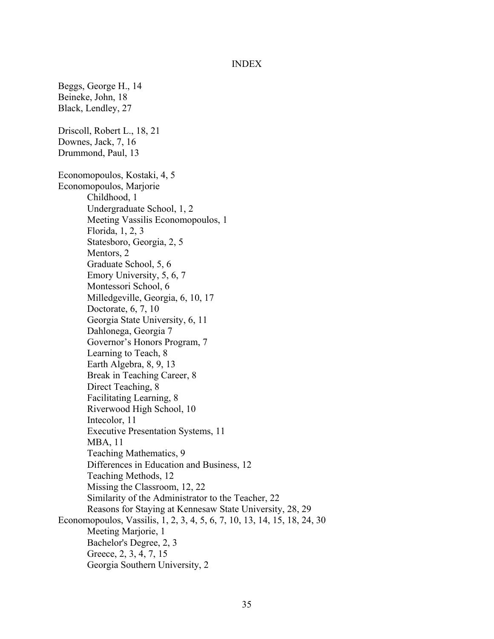## INDEX

Beggs, George H., 14 Beineke, John, 18 Black, Lendley, 27 Driscoll, Robert L., 18, 21 Downes, Jack, 7, 16 Drummond, Paul, 13 Economopoulos, Kostaki, 4, 5 Economopoulos, Marjorie Childhood, 1 Undergraduate School, 1, 2 Meeting Vassilis Economopoulos, 1 Florida, 1, 2, 3 Statesboro, Georgia, 2, 5 Mentors, 2 Graduate School, 5, 6 Emory University, 5, 6, 7 Montessori School, 6 Milledgeville, Georgia, 6, 10, 17 Doctorate, 6, 7, 10 Georgia State University, 6, 11 Dahlonega, Georgia 7 Governor's Honors Program, 7 Learning to Teach, 8 Earth Algebra, 8, 9, 13 Break in Teaching Career, 8 Direct Teaching, 8 Facilitating Learning, 8 Riverwood High School, 10 Intecolor, 11 Executive Presentation Systems, 11 MBA, 11 Teaching Mathematics, 9 Differences in Education and Business, 12 Teaching Methods, 12 Missing the Classroom, 12, 22 Similarity of the Administrator to the Teacher, 22 Reasons for Staying at Kennesaw State University, 28, 29 Economopoulos, Vassilis, 1, 2, 3, 4, 5, 6, 7, 10, 13, 14, 15, 18, 24, 30 Meeting Marjorie, 1 Bachelor's Degree, 2, 3 Greece, 2, 3, 4, 7, 15 Georgia Southern University, 2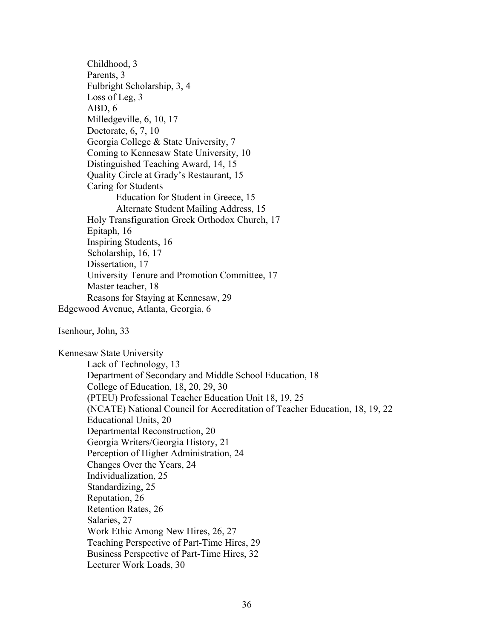Childhood, 3 Parents, 3 Fulbright Scholarship, 3, 4 Loss of Leg, 3 ABD, 6 Milledgeville, 6, 10, 17 Doctorate, 6, 7, 10 Georgia College & State University, 7 Coming to Kennesaw State University, 10 Distinguished Teaching Award, 14, 15 Quality Circle at Grady's Restaurant, 15 Caring for Students Education for Student in Greece, 15 Alternate Student Mailing Address, 15 Holy Transfiguration Greek Orthodox Church, 17 Epitaph, 16 Inspiring Students, 16 Scholarship, 16, 17 Dissertation, 17 University Tenure and Promotion Committee, 17 Master teacher, 18 Reasons for Staying at Kennesaw, 29 Edgewood Avenue, Atlanta, Georgia, 6

Isenhour, John, 33

Kennesaw State University Lack of Technology, 13 Department of Secondary and Middle School Education, 18 College of Education, 18, 20, 29, 30 (PTEU) Professional Teacher Education Unit 18, 19, 25 (NCATE) National Council for Accreditation of Teacher Education, 18, 19, 22 Educational Units, 20 Departmental Reconstruction, 20 Georgia Writers/Georgia History, 21 Perception of Higher Administration, 24 Changes Over the Years, 24 Individualization, 25 Standardizing, 25 Reputation, 26 Retention Rates, 26 Salaries, 27 Work Ethic Among New Hires, 26, 27 Teaching Perspective of Part-Time Hires, 29 Business Perspective of Part-Time Hires, 32 Lecturer Work Loads, 30